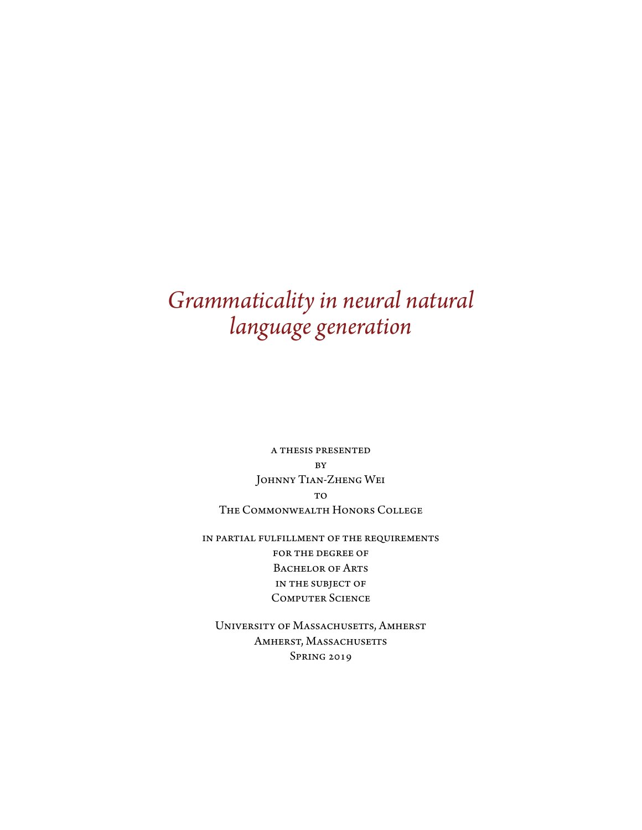# *Grammaticality in neural natural language generation*

a thesis presented **BY** Johnny Tian-Zheng Wei T<sub>O</sub> The Commonwealth Honors College

in partial fulfillment of the requirements for the degree of BACHELOR OF ARTS in the subject of Computer Science

UNIVERSITY OF MASSACHUSETTS, AMHERST AMHERST, MASSACHUSETTS Spring 2019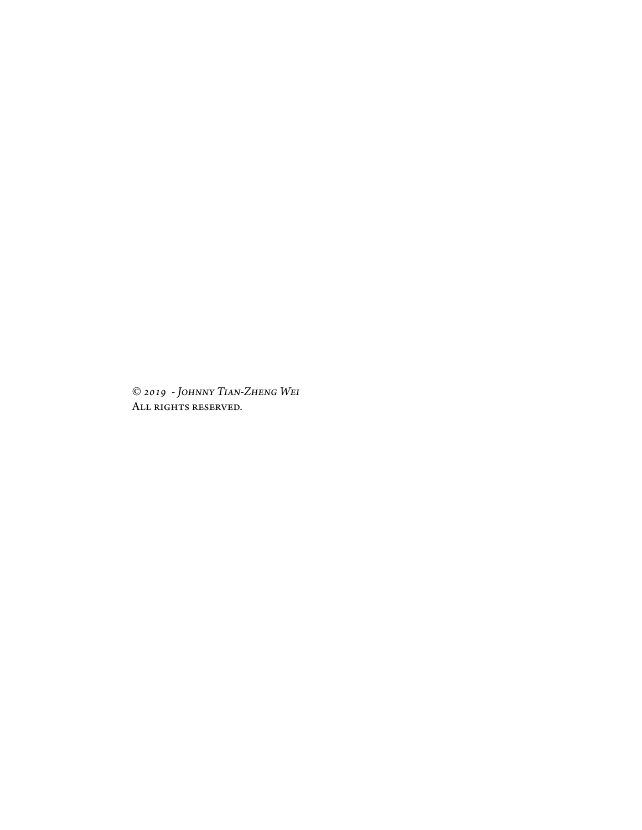© *2019 - Johnny Tian-Zheng Wei* ALL RIGHTS RESERVED.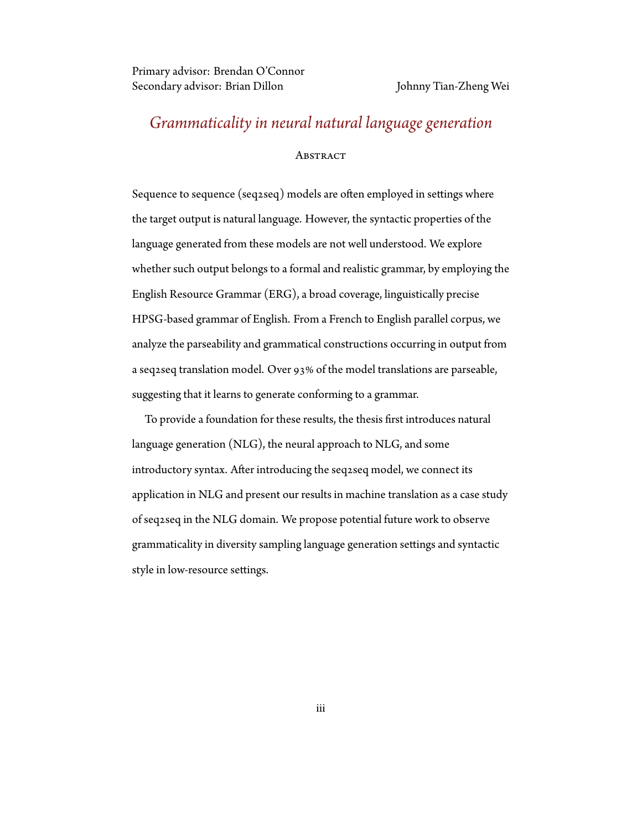Primary advisor: Brendan O'Connor Secondary advisor: Brian Dillon Johnny Tian-Zheng Wei

# *Grammaticality in neural natural language generation*

#### **ABSTRACT**

Sequence to sequence (seq2seq) models are often employed in settings where the target output is natural language. However, the syntactic properties of the language generated from these models are not well understood. We explore whether such output belongs to a formal and realistic grammar, by employing the English Resource Grammar (ERG), a broad coverage, linguistically precise HPSG-based grammar of English. From a French to English parallel corpus, we analyze the parseability and grammatical constructions occurring in output from a seq2seq translation model. Over 93% of the model translations are parseable, suggesting that it learns to generate conforming to a grammar.

To provide a foundation for these results, the thesis first introduces natural language generation (NLG), the neural approach to NLG, and some introductory syntax. After introducing the seq2seq model, we connect its application in NLG and present our results in machine translation as a case study of seq2seq in the NLG domain. We propose potential future work to observe grammaticality in diversity sampling language generation settings and syntactic style in low-resource settings.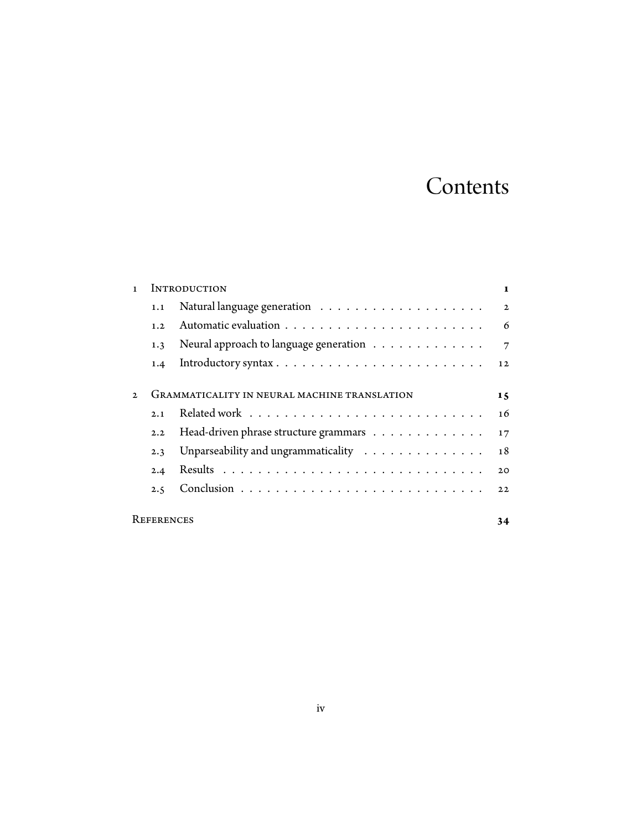# **Contents**

|                   | <b>INTRODUCTION</b>                          |                                                                               |                |  |  |  |  |
|-------------------|----------------------------------------------|-------------------------------------------------------------------------------|----------------|--|--|--|--|
|                   | 1.1                                          |                                                                               | $\mathbf{2}$   |  |  |  |  |
|                   | 1.2                                          |                                                                               | 6              |  |  |  |  |
|                   | 1.3                                          | Neural approach to language generation                                        | $\overline{7}$ |  |  |  |  |
|                   | 1.4                                          | Introductory syntax $\ldots \ldots \ldots \ldots \ldots \ldots \ldots \ldots$ | 12             |  |  |  |  |
|                   |                                              |                                                                               |                |  |  |  |  |
| $\mathfrak{D}$    | GRAMMATICALITY IN NEURAL MACHINE TRANSLATION |                                                                               |                |  |  |  |  |
|                   | 2.1                                          |                                                                               | 16             |  |  |  |  |
|                   | 2.2                                          | Head-driven phrase structure grammars                                         | 17             |  |  |  |  |
|                   | 2.3                                          | Unparseability and ungrammaticality                                           | 18             |  |  |  |  |
|                   | 2.4                                          |                                                                               | 20             |  |  |  |  |
|                   | 2.5                                          |                                                                               | 22             |  |  |  |  |
|                   |                                              |                                                                               |                |  |  |  |  |
| <b>REFERENCES</b> |                                              |                                                                               |                |  |  |  |  |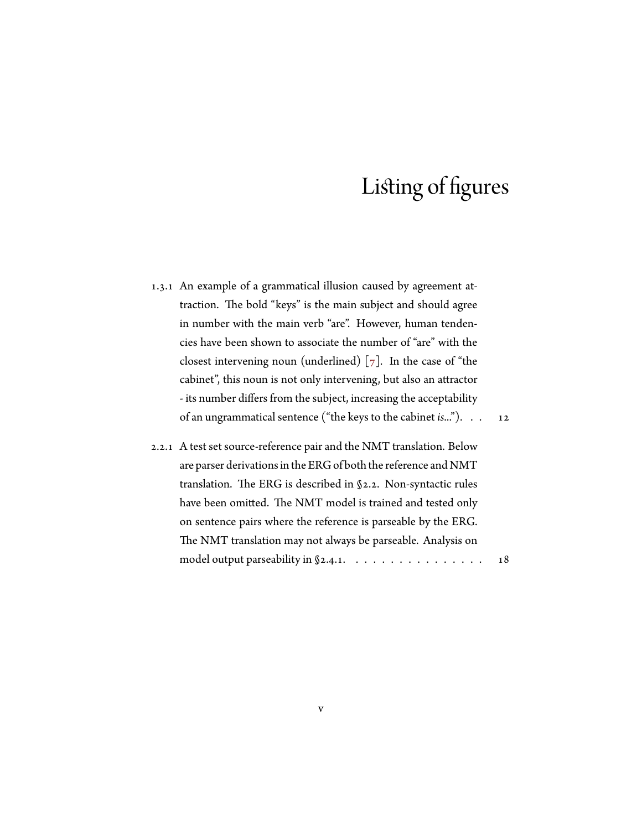### Listing of figures

- 1.3.1 An example of a grammatical illusion caused by agreement attraction. The bold "keys" is the main subject and should agree in number with the main verb "are". However, human tendencies have been shown to associate the number of "are" with the closestintervening noun (underlined)  $[7]$  $[7]$  $[7]$ . In the case of "the cabinet", this noun is not only intervening, but also an attractor - its number differs from the subject, increasing the acceptability of an ungrammatical sentence ("the keys to the cabinet *is*..."). . . [12](#page-19-1)
- 2.2.1 A test set source-reference pair and the NMT translation. Below are parser derivations in the ERG of both the reference and NMT translation. The ERG is described in [§2.2.](#page-24-0) Non-syntactic rules have been omitted. The NMT model is trained and tested only on sentence pairs where the reference is parseable by the ERG. The NMT translation may not always be parseable. Analysis on model output parseability in  $\S$ [2.4.1](#page-27-1).  $\ldots$ . . . . . . . . . . . . . . [18](#page-25-1)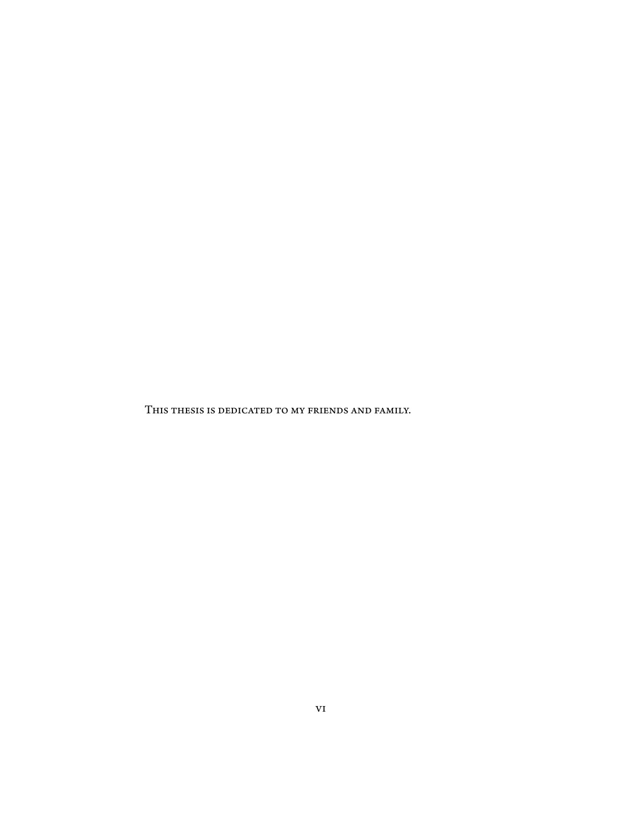This thesis is dedicated to my friends and family.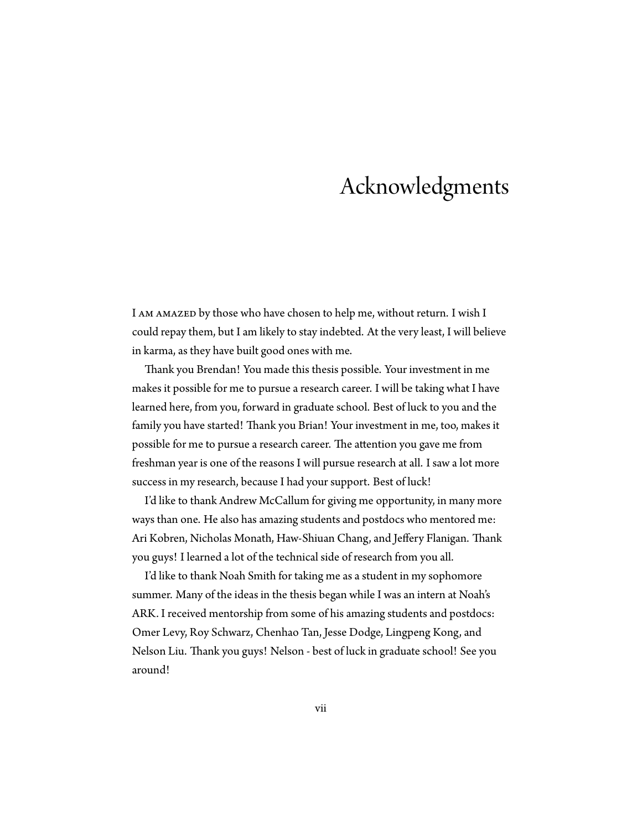# Acknowledgments

I AM AMAZED by those who have chosen to help me, without return. I wish I could repay them, but I am likely to stay indebted. At the very least, I will believe in karma, as they have built good ones with me.

Thank you Brendan! You made this thesis possible. Your investment in me makes it possible for me to pursue a research career. I will be taking what I have learned here, from you, forward in graduate school. Best of luck to you and the family you have started! Thank you Brian! Your investment in me, too, makes it possible for me to pursue a research career. The attention you gave me from freshman year is one of the reasons I will pursue research at all. I saw a lot more success in my research, because I had your support. Best of luck!

I'd like to thank Andrew McCallum for giving me opportunity, in many more ways than one. He also has amazing students and postdocs who mentored me: Ari Kobren, Nicholas Monath, Haw-Shiuan Chang, and Jeffery Flanigan. Thank you guys! I learned a lot of the technical side of research from you all.

I'd like to thank Noah Smith for taking me as a student in my sophomore summer. Many of the ideas in the thesis began while I was an intern at Noah's ARK. I received mentorship from some of his amazing students and postdocs: Omer Levy, Roy Schwarz, Chenhao Tan, Jesse Dodge, Lingpeng Kong, and Nelson Liu. Thank you guys! Nelson - best of luck in graduate school! See you around!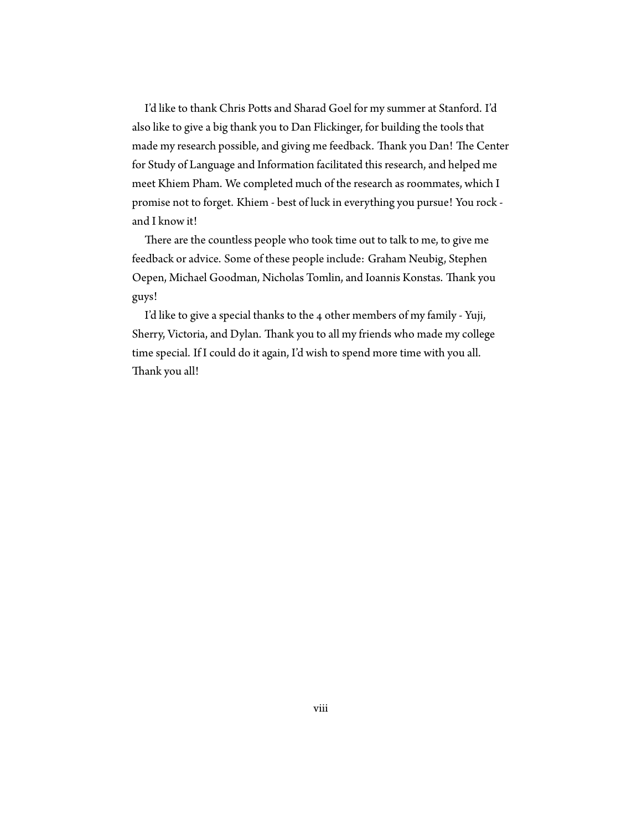I'd like to thank Chris Potts and Sharad Goel for my summer at Stanford. I'd also like to give a big thank you to Dan Flickinger, for building the tools that made my research possible, and giving me feedback. Thank you Dan! The Center for Study of Language and Information facilitated this research, and helped me meet Khiem Pham. We completed much of the research as roommates, which I promise not to forget. Khiem - best of luck in everything you pursue! You rock and I know it!

There are the countless people who took time out to talk to me, to give me feedback or advice. Some of these people include: Graham Neubig, Stephen Oepen, Michael Goodman, Nicholas Tomlin, and Ioannis Konstas. Thank you guys!

I'd like to give a special thanks to the 4 other members of my family - Yuji, Sherry, Victoria, and Dylan. Thank you to all my friends who made my college time special. If I could do it again, I'd wish to spend more time with you all. Thank you all!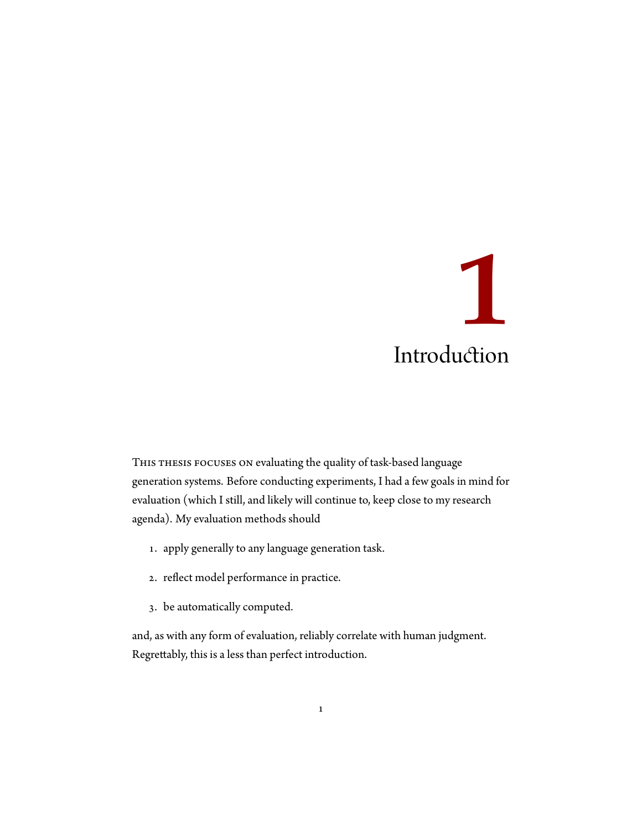# <span id="page-8-0"></span>**1** Introduction

THIS THESIS FOCUSES ON evaluating the quality of task-based language generation systems. Before conducting experiments, I had a few goals in mind for evaluation (which I still, and likely will continue to, keep close to my research agenda). My evaluation methods should

- 1. apply generally to any language generation task.
- 2. reflect model performance in practice.
- 3. be automatically computed.

and, as with any form of evaluation, reliably correlate with human judgment. Regrettably, this is a less than perfect introduction.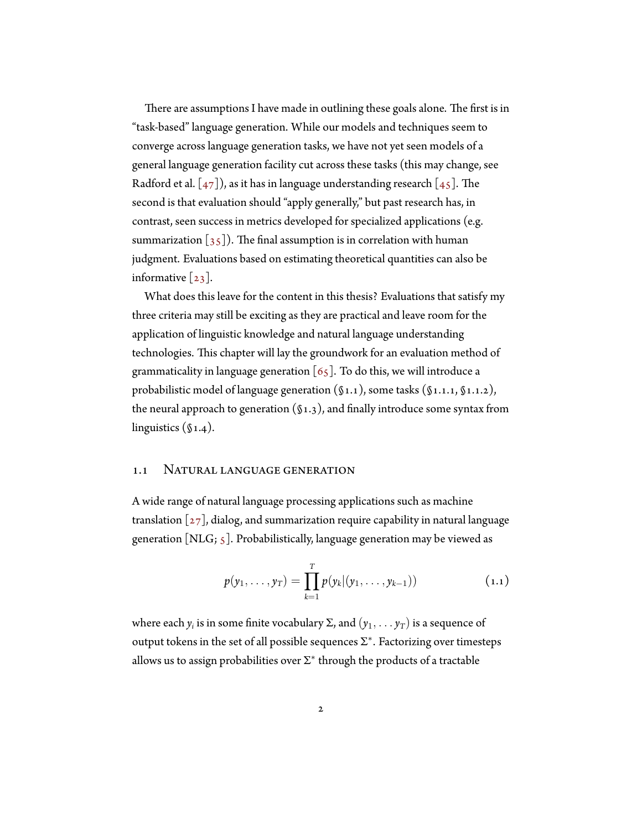There are assumptions I have made in outlining these goals alone. The first is in "task-based" language generation. While our models and techniques seem to converge across language generation tasks, we have not yet seen models of a general language generation facility cut across these tasks (this may change, see Radford et al.  $[47]$ , as it has in language understanding research  $[45]$ . The second is that evaluation should "apply generally," but past research has, in contrast, seen success in metrics developed for specialized applications (e.g. summarization $\lceil 35 \rceil$  $\lceil 35 \rceil$  $\lceil 35 \rceil$ ). The final assumption is in correlation with human judgment. Evaluations based on estimating theoretical quantities can also be informative $\lceil 23 \rceil$ .

What does this leave for the content in this thesis? Evaluations that satisfy my three criteria may still be exciting as they are practical and leave room for the application of linguistic knowledge and natural language understanding technologies. This chapter will lay the groundwork for an evaluation method of grammaticalityin language generation  $\lceil 65 \rceil$ . To do this, we will introduce a probabilistic model of language generation  $(\S1.1)$ , some tasks  $(\S1.1.1, \S1.1.2)$  $(\S1.1.1, \S1.1.2)$  $(\S1.1.1, \S1.1.2)$  $(\S1.1.1, \S1.1.2)$  $(\S1.1.1, \S1.1.2)$ , the neural approach to generation  $(\S1.3)$  $(\S1.3)$ , and finally introduce some syntax from linguistics (§[1.4](#page-19-0)).

#### <span id="page-9-0"></span>1.1 Natural language generation

A wide range of natural language processing applications such as machine translation $\lceil 27 \rceil$ , dialog, and summarization require capability in natural language generation [NLG;  $\zeta$ ]. Probabilistically, language generation may be viewed as

$$
p(y_1,\ldots,y_T)=\prod_{k=1}^T p(y_k|(y_1,\ldots,y_{k-1}))
$$
 (1.1)

where each  $y_i$  is in some finite vocabulary  $\Sigma$ , and  $(y_1, \ldots y_T)$  is a sequence of output tokens in the set of all possible sequences Σ *∗* . Factorizing over timesteps allows us to assign probabilities over Σ *∗* through the products of a tractable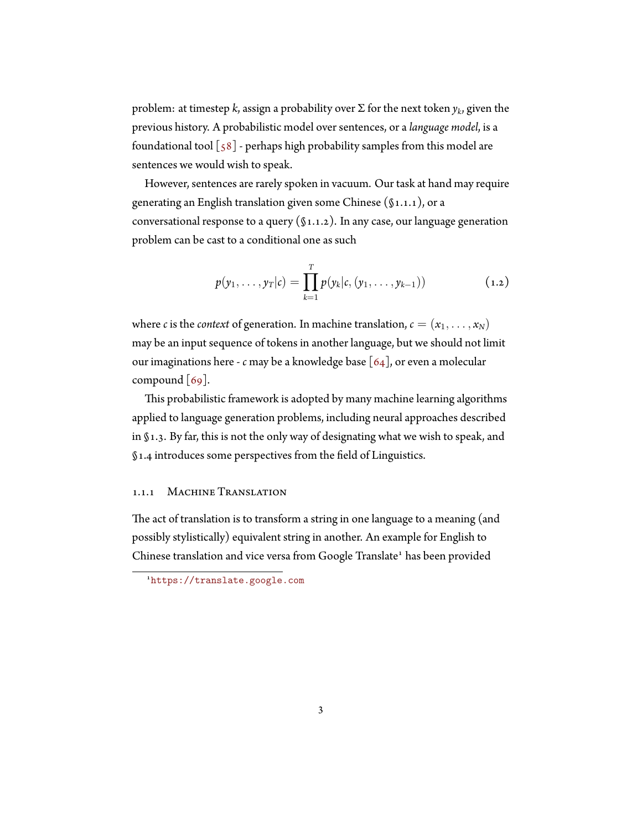problem: at timestep *k*, assign a probability over Σ for the next token *y<sup>k</sup>* , given the previous history. A probabilistic model over sentences, or a *language model*, is a foundational tool  $\lceil 58 \rceil$  - perhaps high probability samples from this model are sentences we would wish to speak.

However, sentences are rarely spoken in vacuum. Our task at hand may require generating an English translation given some Chinese ([§1.1.1\)](#page-10-0), or a conversational response to a query  $(\S1.1.2)$ . In any case, our language generation problem can be cast to a conditional one as such

<span id="page-10-1"></span>
$$
p(y_1,\ldots,y_T|c)=\prod_{k=1}^T p(y_k|c,(y_1,\ldots,y_{k-1}))
$$
 (1.2)

where *c* is the *context* of generation. In machine translation,  $c = (x_1, \ldots, x_N)$ may be an input sequence of tokens in another language, but we should not limit our imaginations here - *c* may be a knowledge base [\[64](#page-40-1)], or even a molecular compound [\[69](#page-41-0)].

This probabilistic framework is adopted by many machine learning algorithms applied to language generation problems, including neural approaches described in§[1.3](#page-14-0). By far, this is not the only way of designating what we wish to speak, and §[1.4](#page-19-0) introduces some perspectives from the field of Linguistics.

#### <span id="page-10-0"></span>1.1.1 MACHINE TRANSLATION

The act of translation is to transform a string in one language to a meaning (and possibly stylistically) equivalent string in another. An example for English to Chinese translation and vice versa from Google Translate<sup>1</sup> has been provided

<sup>1</sup><https://translate.google.com>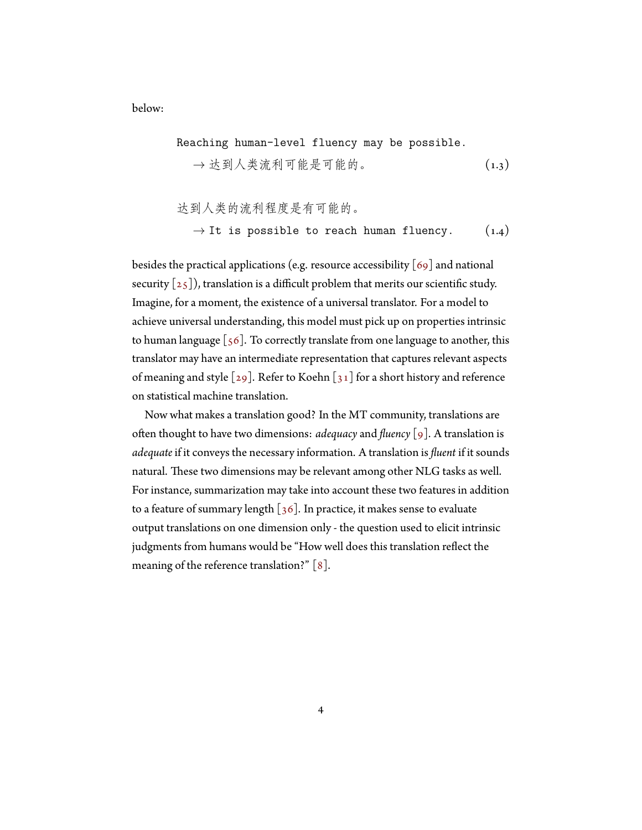below:

Reading human-level fluency may be possible.

\n→ 
$$
\pm
$$
 到 $\lambda$   $\pm$  20 m  $\pm$  10 m  $\pm$  20 m  $\pm$  20 m  $\pm$  20 m  $\pm$  20 m  $\pm$  20 m  $\pm$  20 m  $\pm$  20 m  $\pm$  20 m  $\pm$  20 m  $\pm$  20 m  $\pm$  20 m  $\pm$  20 m  $\pm$  20 m  $\pm$  20 m  $\pm$  20 m  $\pm$  20 m  $\pm$  20 m  $\pm$  20 m  $\pm$  20 m  $\pm$  20 m  $\pm$  20 m  $\pm$  20 m  $\pm$  20 m  $\pm$  20 m  $\pm$  20 m  $\pm$  20 m  $\pm$  20 m  $\pm$  20 m  $\pm$  20 m  $\pm$  20 m  $\pm$  20 m  $\pm$  20 m  $\pm$  20 m  $\pm$  20 m  $\pm$  20 m  $\pm$  20 m  $\pm$  20 m  $\pm$  20 m  $\pm$  20 m  $\pm$  20 m  $\pm$  20 m  $\pm$  20 m  $\pm$  20 m  $\pm$  20 m  $\pm$  20 m  $\pm$  20 m  $\pm$  20 m  $\pm$  20 m  $\pm$  20 m  $\pm$ 

达到人类的流利程度是有可能的。 *→* It is possible to reach human fluency. (1.4)

besides the practical applications (e.g. resource accessibility  $[69]$  and national security  $\lceil 25 \rceil$ ), translation is a difficult problem that merits our scientific study. Imagine, for a moment, the existence of a universal translator. For a model to achieve universal understanding, this model must pick up on properties intrinsic to human language  $[56]$ . To correctly translate from one language to another, this translator may have an intermediate representation that captures relevant aspects ofmeaning and style  $\lceil 29 \rceil$  $\lceil 29 \rceil$  $\lceil 29 \rceil$ . Refer to Koehn  $\lceil 31 \rceil$  for a short history and reference on statistical machine translation.

<span id="page-11-0"></span>Now what makes a translation good? In the MT community, translations are often thought to have two dimensions: *adequacy* and *fluency*[\[9\]](#page-32-1). A translation is *adequate* if it conveys the necessary information. A translation is *fluent* if it sounds natural. These two dimensions may be relevant among other NLG tasks as well. For instance, summarization may take into account these two features in addition toa feature of summary length  $\left[36\right]$ . In practice, it makes sense to evaluate output translations on one dimension only - the question used to elicit intrinsic judgments from humans would be "How well does this translation reflect the meaningof the reference translation?"  $[8]$  $[8]$  $[8]$ .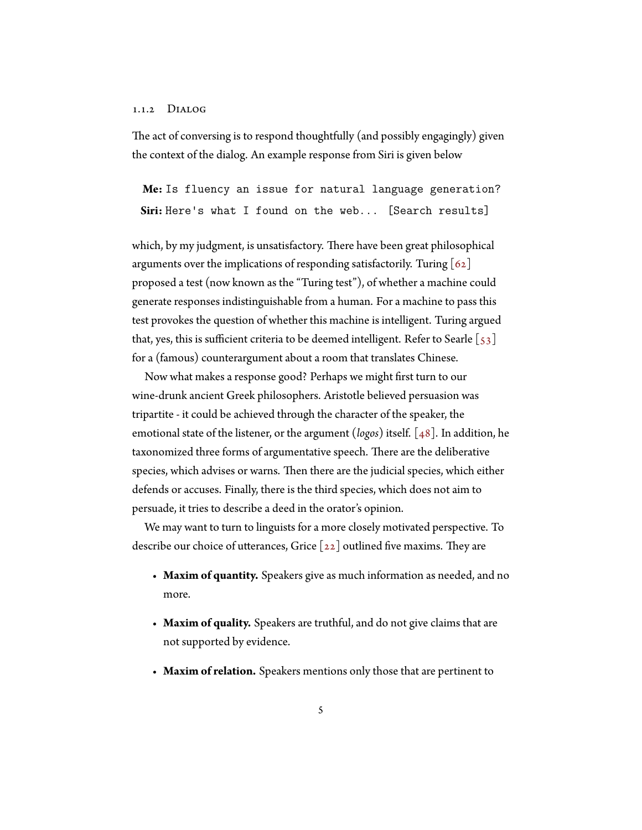#### 1.1.2 Dialog

The act of conversing is to respond thoughtfully (and possibly engagingly) given the context of the dialog. An example response from Siri is given below

**Me:** Is fluency an issue for natural language generation? **Siri:** Here's what I found on the web... [Search results]

which, by my judgment, is unsatisfactory. There have been great philosophical argumentsover the implications of responding satisfactorily. Turing  $[62]$  $[62]$  $[62]$ proposed a test (now known as the "Turing test"), of whether a machine could generate responses indistinguishable from a human. For a machine to pass this test provokes the question of whether this machine is intelligent. Turing argued that,yes, this is sufficient criteria to be deemed intelligent. Refer to Searle  $\left[\begin{smallmatrix} 5 & 3 \end{smallmatrix}\right]$ for a (famous) counterargument about a room that translates Chinese.

Now what makes a response good? Perhaps we might first turn to our wine-drunk ancient Greek philosophers. Aristotle believed persuasion was tripartite - it could be achieved through the character of the speaker, the emotional state of the listener, or the argument (*logos*) itself.[[48\]](#page-37-2). In addition, he taxonomized three forms of argumentative speech. There are the deliberative species, which advises or warns. Then there are the judicial species, which either defends or accuses. Finally, there is the third species, which does not aim to persuade, it tries to describe a deed in the orator's opinion.

We may want to turn to linguists for a more closely motivated perspective. To describe our choice of utterances, Grice  $\lceil 22 \rceil$  outlined five maxims. They are

- **Maxim of quantity.** Speakers give as much information as needed, and no more.
- **Maxim of quality.** Speakers are truthful, and do not give claims that are not supported by evidence.
- **Maxim of relation.** Speakers mentions only those that are pertinent to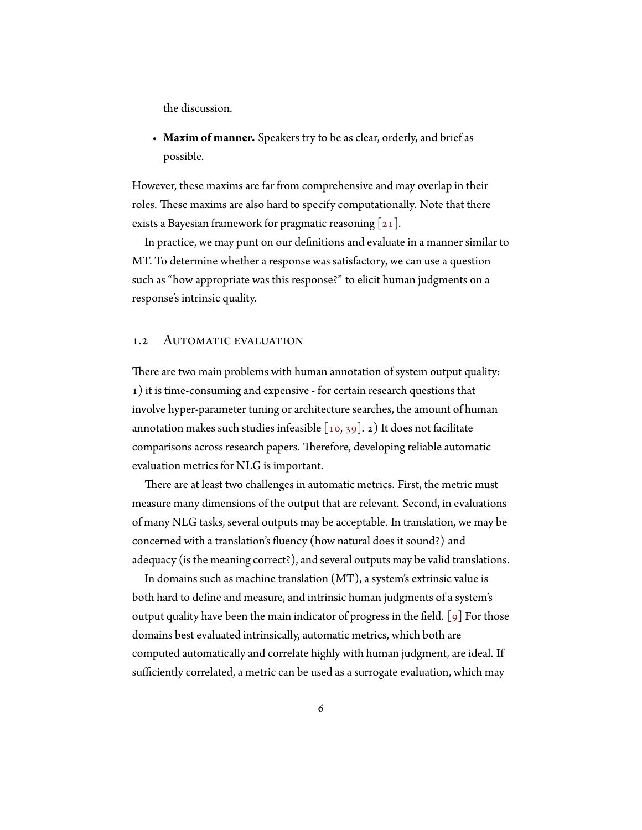the discussion.

• **Maxim of manner.** Speakers try to be as clear, orderly, and brief as possible.

However, these maxims are far from comprehensive and may overlap in their roles. These maxims are also hard to specify computationally. Note that there exists a Bayesian framework for pragmatic reasoning  $[21]$ .

In practice, we may punt on our definitions and evaluate in a manner similar to MT. To determine whether a response was satisfactory, we can use a question such as "how appropriate was this response?" to elicit human judgments on a response's intrinsic quality.

#### <span id="page-13-0"></span>1.2 AUTOMATIC EVALUATION

There are two main problems with human annotation of system output quality: 1) it is time-consuming and expensive - for certain research questions that involve hyper-parameter tuning or architecture searches, the amount of human annotation makes such studies infeasible  $[10, 39]$  $[10, 39]$ . 2) It does not facilitate comparisons across research papers. Therefore, developing reliable automatic evaluation metrics for NLG is important.

There are at least two challenges in automatic metrics. First, the metric must measure many dimensions of the output that are relevant. Second, in evaluations of many NLG tasks, several outputs may be acceptable. In translation, we may be concerned with a translation's fluency (how natural does it sound?) and adequacy (is the meaning correct?), and several outputs may be valid translations.

In domains such as machine translation (MT), a system's extrinsic value is both hard to define and measure, and intrinsic human judgments of a system's output quality have been the main indicator of progress in the field. [\[9\]](#page-32-1) For those domains best evaluated intrinsically, automatic metrics, which both are computed automatically and correlate highly with human judgment, are ideal. If sufficiently correlated, a metric can be used as a surrogate evaluation, which may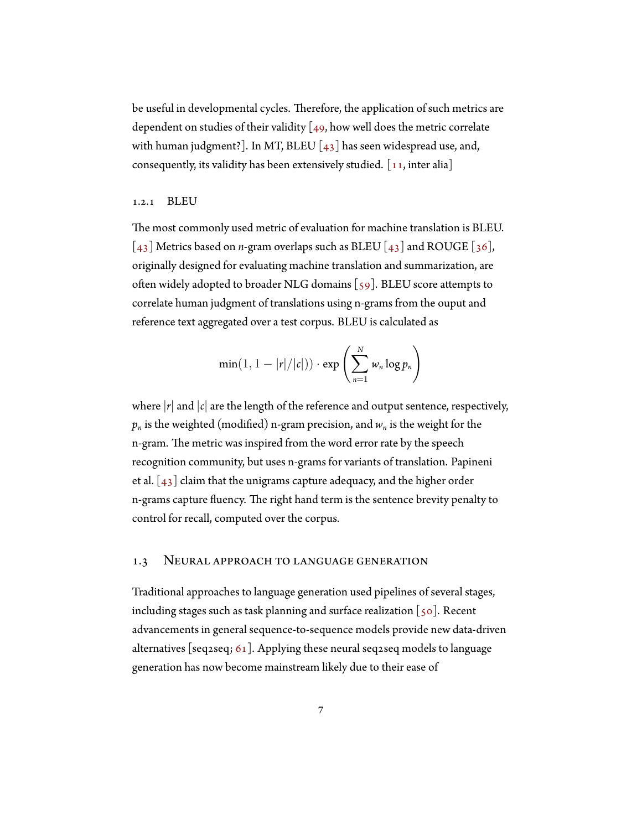be useful in developmental cycles. Therefore, the application of such metrics are dependenton studies of their validity  $[49,$  $[49,$  how well does the metric correlate with human judgment?]. In MT, BLEU  $\begin{bmatrix} 4 & 3 \end{bmatrix}$  has seen widespread use, and, consequently, its validity has been extensively studied.  $\lceil 11, 11 \rceil$ 

#### 1.2.1 BLEU

The most commonly used metric of evaluation for machine translation is BLEU. [[43\]](#page-37-3) Metrics based on *n*-gram overlaps such as BLEU [\[43](#page-37-3)] and ROUGE[[36](#page-36-1)], originally designed for evaluating machine translation and summarization, are often widely adopted to broader NLG domains [\[59](#page-39-2)]. BLEU score attempts to correlate human judgment of translations using n-grams from the ouput and reference text aggregated over a test corpus. BLEU is calculated as

$$
\min(1, 1 - |r|/|c|)) \cdot \exp\left(\sum_{n=1}^{N} w_n \log p_n\right)
$$

where  $|r|$  and  $|r|$  are the length of the reference and output sentence, respectively,  $p_n$  is the weighted (modified) n-gram precision, and  $w_n$  is the weight for the n-gram. The metric was inspired from the word error rate by the speech recognition community, but uses n-grams for variants of translation. Papineni etal.  $\left[43\right]$  claim that the unigrams capture adequacy, and the higher order n-grams capture fluency. The right hand term is the sentence brevity penalty to control for recall, computed over the corpus.

#### <span id="page-14-0"></span>1.3 Neural approach to language generation

Traditional approaches to language generation used pipelines of several stages, including stages such as task planning and surface realization  $\lceil$  50]. Recent advancements in general sequence-to-sequence models provide new data-driven alternatives [seq2seq; [61\]](#page-39-3). Applying these neural seq2seq models to language generation has now become mainstream likely due to their ease of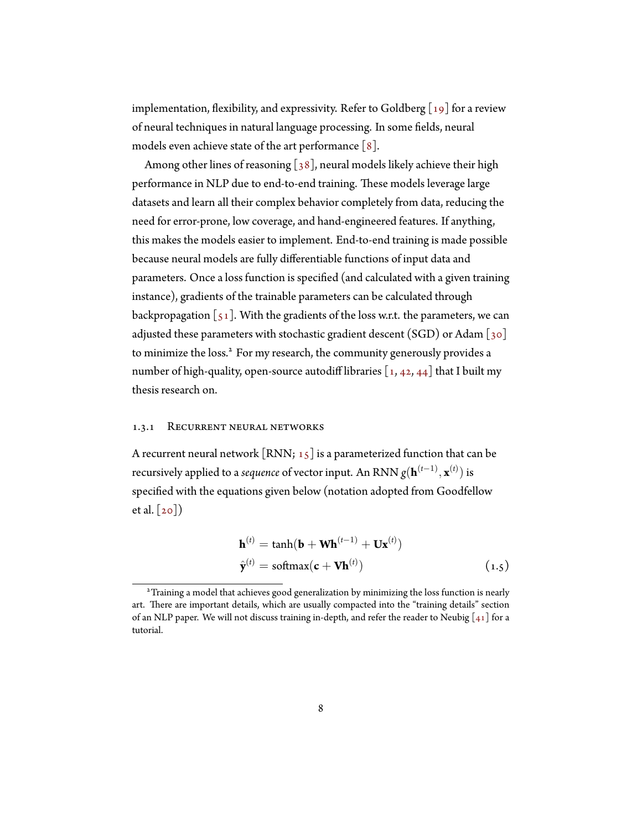implementation,flexibility, and expressivity. Refer to Goldberg  $\lceil 19 \rceil$  for a review of neural techniques in natural language processing. In some fields, neural models even achieve state of the art performance  $\lceil 8 \rceil$ .

Amongother lines of reasoning  $[38]$  $[38]$ , neural models likely achieve their high performance in NLP due to end-to-end training. These models leverage large datasets and learn all their complex behavior completely from data, reducing the need for error-prone, low coverage, and hand-engineered features. If anything, this makes the models easier to implement. End-to-end training is made possible because neural models are fully differentiable functions of input data and parameters. Once a loss function is specified (and calculated with a given training instance), gradients of the trainable parameters can be calculated through backpropagation $\lbrack 51 \rbrack$ . With the gradients of the loss w.r.t. the parameters, we can adjustedthese parameters with stochastic gradient descent (SGD) or Adam  $\lceil 30 \rceil$  $\lceil 30 \rceil$  $\lceil 30 \rceil$ to minimize the loss.<sup>2</sup> For my research, the community generously provides a number of high-quality, open-source autodiff libraries  $[1, 42, 44]$  $[1, 42, 44]$  $[1, 42, 44]$  $[1, 42, 44]$  $[1, 42, 44]$  that I built my thesis research on.

#### <span id="page-15-0"></span>1.3.1 Recurrent neural networks

A recurrent neural network  $\left[ RNN; 15 \right]$  $\left[ RNN; 15 \right]$  $\left[ RNN; 15 \right]$  is a parameterized function that can be recursively applied to a *sequence* of vector input. An RNN *g*(**h** (*t−*1) *,* **x** (*t*) ) is specified with the equations given below (notation adopted from Goodfellow etal.  $\lceil 20 \rceil$ )

$$
\mathbf{h}^{(t)} = \tanh(\mathbf{b} + \mathbf{W}\mathbf{h}^{(t-1)} + \mathbf{U}\mathbf{x}^{(t)})
$$
  

$$
\hat{\mathbf{y}}^{(t)} = \text{softmax}(\mathbf{c} + \mathbf{V}\mathbf{h}^{(t)})
$$
 (1.5)

<sup>2</sup>Training a model that achieves good generalization by minimizing the loss function is nearly art. There are important details, which are usually compacted into the "training details" section ofan NLP paper. We will not discuss training in-depth, and refer the reader to Neubig  $[41]$  $[41]$  $[41]$  for a tutorial.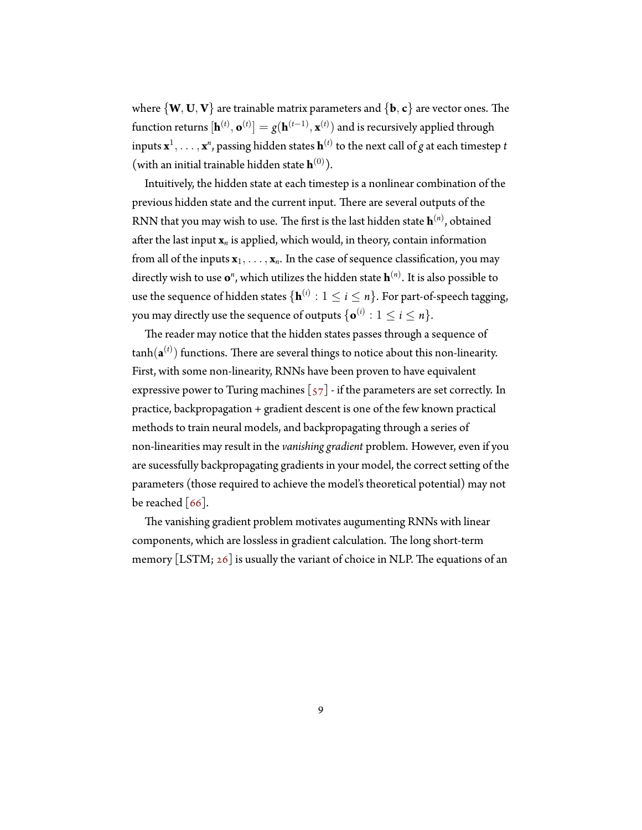where *{***W***,* **U***,* **V***}* are trainable matrix parameters and *{***b***,* **c***}* are vector ones. The  $\text{function returns } [\mathbf{h}^{(t)}, \mathbf{o}^{(t)}] = g(\mathbf{h}^{(t-1)}, \mathbf{x}^{(t)})$  and is recursively applied through inputs  $\mathbf{x}^1,\ldots,\mathbf{x}^n$ , passing hidden states  $\mathbf{h}^{(t)}$  to the next call of  $g$  at each timestep  $t$ (with an initial trainable hidden state  $\mathbf{h}^{(0)}$ ).

Intuitively, the hidden state at each timestep is a nonlinear combination of the previous hidden state and the current input. There are several outputs of the RNN that you may wish to use. The first is the last hidden state **h** (*n*) , obtained after the last input **x***<sup>n</sup>* is applied, which would, in theory, contain information from all of the inputs  $\mathbf{x}_1, \ldots, \mathbf{x}_n$ . In the case of sequence classification, you may directly wish to use  $\mathbf{o}^n$ , which utilizes the hidden state  $\mathbf{h}^{(n)}$ . It is also possible to use the sequence of hidden states  $\{{\bf h}^{(i)}: 1 \leq i \leq n\}.$  For part-of-speech tagging, you may directly use the sequence of outputs  $\{\mathbf{o}^{(i)}: 1 \leq i \leq n\}.$ 

The reader may notice that the hidden states passes through a sequence of  $\tanh(\mathbf{a}^{(t)})$  functions. There are several things to notice about this non-linearity. First, with some non-linearity, RNNs have been proven to have equivalent expressivepower to Turing machines  $\left[\frac{57}{7}\right]$  - if the parameters are set correctly. In practice, backpropagation + gradient descent is one of the few known practical methods to train neural models, and backpropagating through a series of non-linearities may result in the *vanishing gradient* problem. However, even if you are sucessfully backpropagating gradients in your model, the correct setting of the parameters (those required to achieve the model's theoretical potential) may not be reached  $\lceil 66 \rceil$ .

The vanishing gradient problem motivates augumenting RNNs with linear components, which are lossless in gradient calculation. The long short-term memory [LSTM; [26\]](#page-35-5) is usually the variant of choice in NLP. The equations of an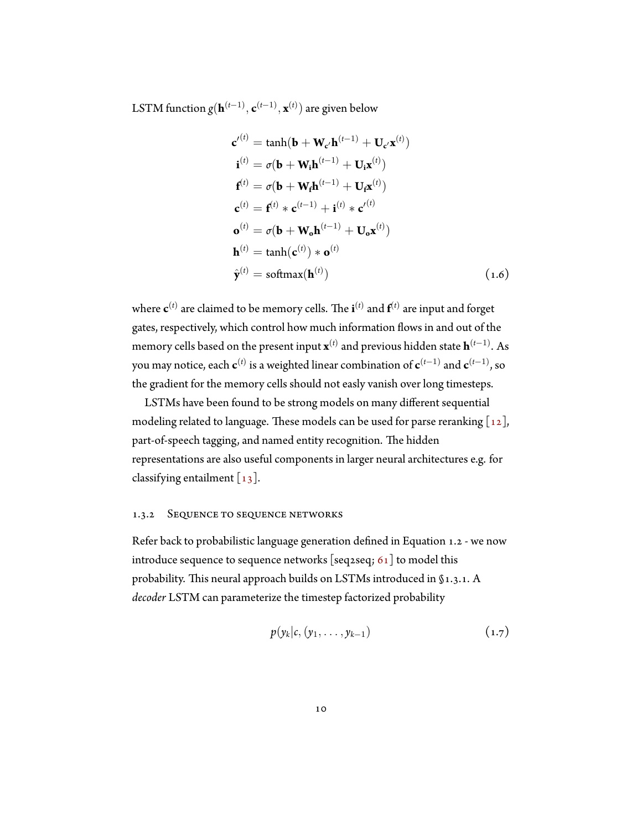LSTM function *g*(**h** (*t−*1) *,* **c** (*t−*1) *,* **x** (*t*) ) are given below

$$
\mathbf{c'}^{(t)} = \tanh(\mathbf{b} + \mathbf{W}_{\mathbf{c'}} \mathbf{h}^{(t-1)} + \mathbf{U}_{\mathbf{c'}} \mathbf{x}^{(t)})
$$
  
\n
$$
\mathbf{i}^{(t)} = \sigma(\mathbf{b} + \mathbf{W}_i \mathbf{h}^{(t-1)} + \mathbf{U}_i \mathbf{x}^{(t)})
$$
  
\n
$$
\mathbf{f}^{(t)} = \sigma(\mathbf{b} + \mathbf{W}_f \mathbf{h}^{(t-1)} + \mathbf{U}_f \mathbf{x}^{(t)})
$$
  
\n
$$
\mathbf{c}^{(t)} = \mathbf{f}^{(t)} * \mathbf{c}^{(t-1)} + \mathbf{i}^{(t)} * \mathbf{c'}^{(t)}
$$
  
\n
$$
\mathbf{o}^{(t)} = \sigma(\mathbf{b} + \mathbf{W}_o \mathbf{h}^{(t-1)} + \mathbf{U}_o \mathbf{x}^{(t)})
$$
  
\n
$$
\mathbf{h}^{(t)} = \tanh(\mathbf{c}^{(t)}) * \mathbf{o}^{(t)}
$$
  
\n
$$
\hat{\mathbf{y}}^{(t)} = \text{softmax}(\mathbf{h}^{(t)})
$$
\n(1.6)

where **c** (*t*) are claimed to be memory cells. The **i** (*t*) and **f** (*t*) are input and forget gates, respectively, which control how much information flows in and out of the memory cells based on the present input  $\mathbf{x}^{(t)}$  and previous hidden state  $\mathbf{h}^{(t-1)}$ . As you may notice, each  $\mathbf{c}^{(t)}$  is a weighted linear combination of  $\mathbf{c}^{(t-1)}$  and  $\mathbf{c}^{(t-1)}$ , so the gradient for the memory cells should not easly vanish over long timesteps.

LSTMs have been found to be strong models on many different sequential modelingrelated to language. These models can be used for parse reranking  $\lceil 12 \rceil$ , part-of-speech tagging, and named entity recognition. The hidden representations are also useful components in larger neural architectures e.g. for classifying entailment [\[13](#page-33-3)].

#### 1.3.2 Sequence to sequence networks

Refer back to probabilistic language generation defined in Equation [1.2](#page-10-1) - we now introduce sequence to sequence networks [seq2seq;  $61$ ] to model this probability. This neural approach builds on LSTMs introduced in [§1.3.1.](#page-15-0) A *decoder* LSTM can parameterize the timestep factorized probability

$$
p(y_k|c, (y_1,\ldots,y_{k-1}) \qquad (1.7)
$$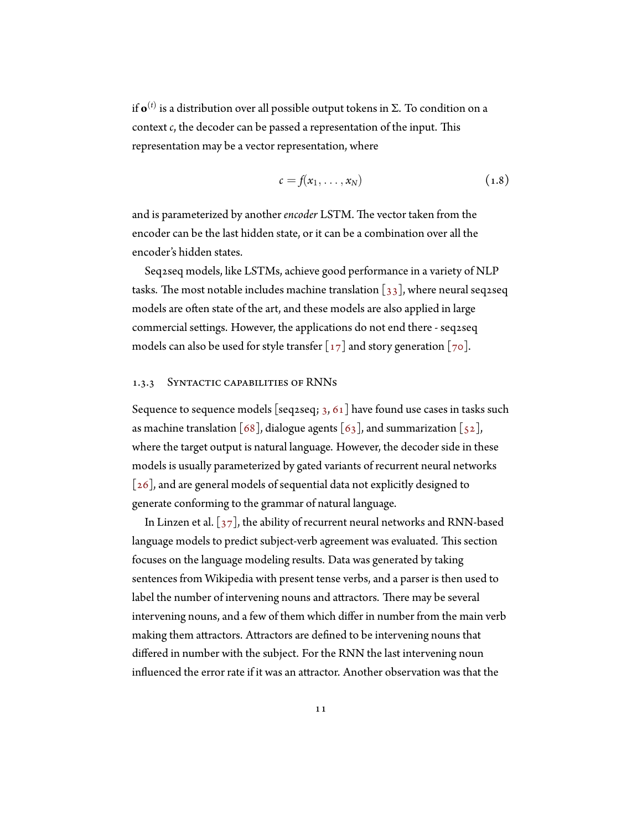if **o** (*t*) is a distribution over all possible output tokens in Σ. To condition on a context *c*, the decoder can be passed a representation of the input. This representation may be a vector representation, where

$$
c = f(x_1, \ldots, x_N) \tag{1.8}
$$

and is parameterized by another *encoder* LSTM. The vector taken from the encoder can be the last hidden state, or it can be a combination over all the encoder's hidden states.

Seq2seq models, like LSTMs, achieve good performance in a variety of NLP tasks.The most notable includes machine translation  $\left[\begin{smallmatrix} 3 & 3 \end{smallmatrix}\right]$ , where neural seq2seq models are often state of the art, and these models are also applied in large commercial settings. However, the applications do not end there - seq2seq models can also be used for style transfer  $\lceil 17 \rceil$  and story generation  $\lceil 70 \rceil$ .

#### 1.3.3 Syntactic capabilities of RNNs

Sequence to sequence models [seq2seq;  $3, 61$  $3, 61$  $3, 61$ ] have found use cases in tasks such asmachine translation [[68\]](#page-40-3), dialogue agents [[63](#page-40-4)], and summarization [\[52\]](#page-38-5), where the target output is natural language. However, the decoder side in these models is usually parameterized by gated variants of recurrent neural networks  $\lceil 26 \rceil$ , and are general models of sequential data not explicitly designed to generate conforming to the grammar of natural language.

InLinzen et al.  $\lceil 37 \rceil$ , the ability of recurrent neural networks and RNN-based language models to predict subject-verb agreement was evaluated. This section focuses on the language modeling results. Data was generated by taking sentences from Wikipedia with present tense verbs, and a parser is then used to label the number of intervening nouns and attractors. There may be several intervening nouns, and a few of them which differ in number from the main verb making them attractors. Attractors are defined to be intervening nouns that differed in number with the subject. For the RNN the last intervening noun influenced the error rate if it was an attractor. Another observation was that the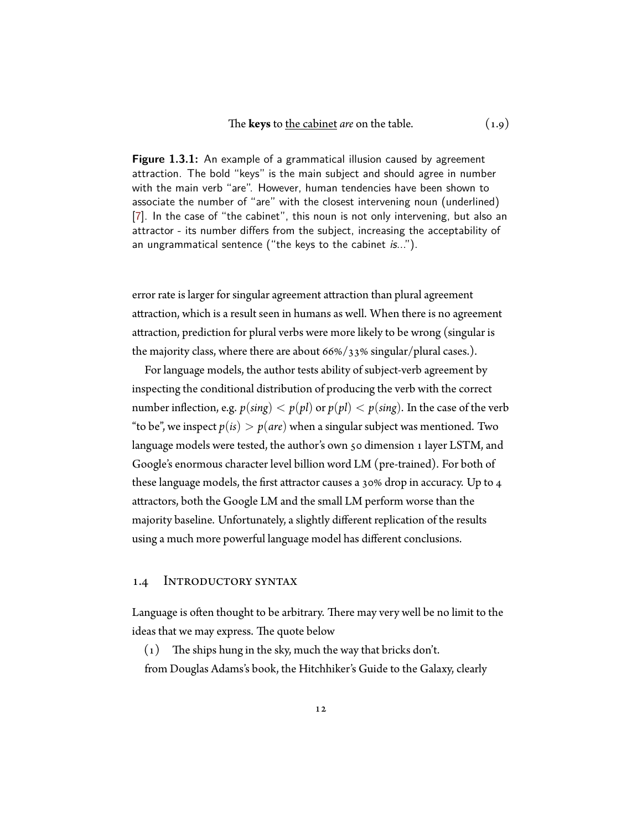<span id="page-19-1"></span>**Figure 1.3.1:** An example of a grammatical illusion caused by agreement attraction. The bold "keys" is the main subject and should agree in number with the main verb "are". However, human tendencies have been shown to associate the number of "are" with the closest intervening noun (underlined) [\[7\]](#page-32-0). In the case of "the cabinet", this noun is not only intervening, but also an attractor - its number differs from the subject, increasing the acceptability of an ungrammatical sentence ("the keys to the cabinet *is*...").

error rate is larger for singular agreement attraction than plural agreement attraction, which is a result seen in humans as well. When there is no agreement attraction, prediction for plural verbs were more likely to be wrong (singular is the majority class, where there are about 66%/33% singular/plural cases.).

For language models, the author tests ability of subject-verb agreement by inspecting the conditional distribution of producing the verb with the correct number inflection, e.g.  $p(\text{sing}) < p(\text{pl})$  or  $p(\text{pl}) < p(\text{sing})$ . In the case of the verb "to be", we inspect  $p(is) > p(are)$  when a singular subject was mentioned. Two language models were tested, the author's own 50 dimension 1 layer LSTM, and Google's enormous character level billion word LM (pre-trained). For both of these language models, the first attractor causes a 30% drop in accuracy. Up to 4 attractors, both the Google LM and the small LM perform worse than the majority baseline. Unfortunately, a slightly different replication of the results using a much more powerful language model has different conclusions.

#### <span id="page-19-0"></span>1.4 Introductory syntax

Language is often thought to be arbitrary. There may very well be no limit to the ideas that we may express. The quote below

(1) The ships hung in the sky, much the way that bricks don't. from Douglas Adams's book, the Hitchhiker's Guide to the Galaxy, clearly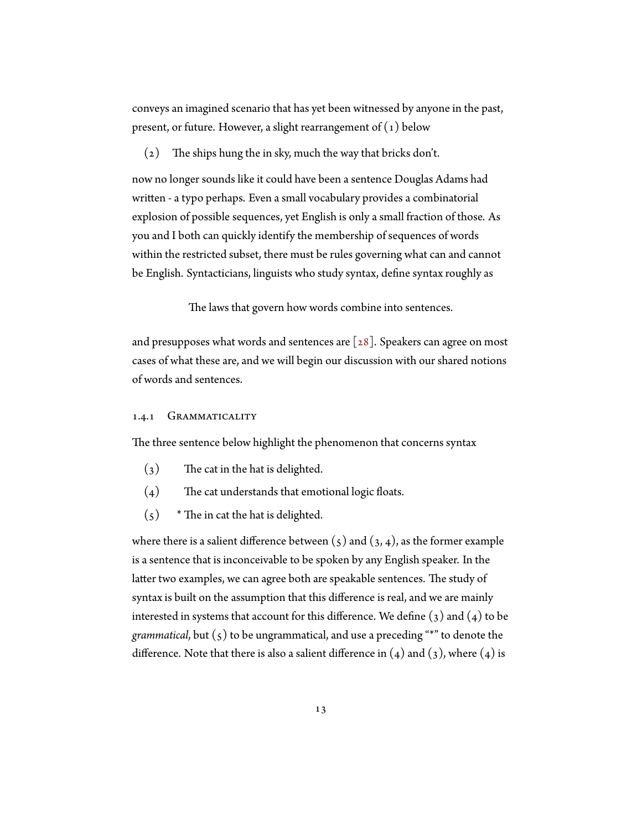conveys an imagined scenario that has yet been witnessed by anyone in the past, present, or future. However, a slight rearrangement of  $(1)$  below

(2) The ships hung the in sky, much the way that bricks don't.

now no longer sounds like it could have been a sentence Douglas Adams had written - a typo perhaps. Even a small vocabulary provides a combinatorial explosion of possible sequences, yet English is only a small fraction of those. As you and I both can quickly identify the membership of sequences of words within the restricted subset, there must be rules governing what can and cannot be English. Syntacticians, linguists who study syntax, define syntax roughly as

The laws that govern how words combine into sentences.

and presupposes what words and sentences are  $\lceil 28 \rceil$ . Speakers can agree on most cases of what these are, and we will begin our discussion with our shared notions of words and sentences.

#### 1.4.1 GRAMMATICALITY

The three sentence below highlight the phenomenon that concerns syntax

- <span id="page-20-1"></span>(3) The cat in the hat is delighted.
- <span id="page-20-2"></span>(4) The cat understands that emotional logic floats.
- <span id="page-20-0"></span> $(5)$  \* The in cat the hat is delighted.

wherethere is a salient difference between  $(5)$  $(5)$  $(5)$  and  $(3, 4)$  $(3, 4)$ , as the former example is a sentence that is inconceivable to be spoken by any English speaker. In the latter two examples, we can agree both are speakable sentences. The study of syntax is built on the assumption that this difference is real, and we are mainly interestedin systems that account for this difference. We define  $(3)$  and  $(4)$  $(4)$  to be *grammatical*,but  $(s)$  to be ungrammatical, and use a preceding "\*" to denote the difference.Note that there is also a salient difference in  $(4)$  and  $(3)$  $(3)$  $(3)$ , where  $(4)$  is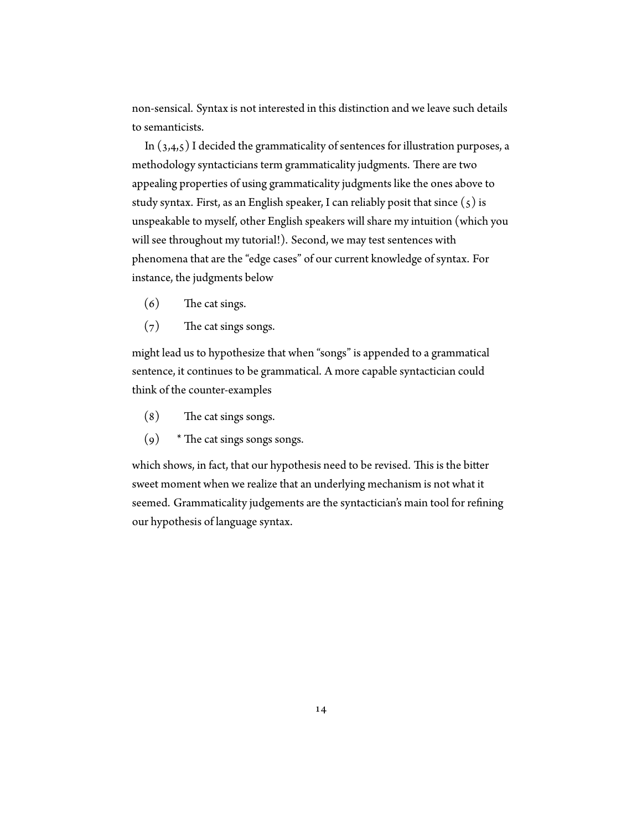non-sensical. Syntax is not interested in this distinction and we leave such details to semanticists.

In $(3,4,5)$  $(3,4,5)$  $(3,4,5)$  $(3,4,5)$  $(3,4,5)$  $(3,4,5)$  $(3,4,5)$  I decided the grammaticality of sentences for illustration purposes, a methodology syntacticians term grammaticality judgments. There are two appealing properties of using grammaticality judgments like the ones above to studysyntax. First, as an English speaker, I can reliably posit that since  $(5)$  $(5)$  is unspeakable to myself, other English speakers will share my intuition (which you will see throughout my tutorial!). Second, we may test sentences with phenomena that are the "edge cases" of our current knowledge of syntax. For instance, the judgments below

- (6) The cat sings.
- (7) The cat sings songs.

might lead us to hypothesize that when "songs" is appended to a grammatical sentence, it continues to be grammatical. A more capable syntactician could think of the counter-examples

- (8) The cat sings songs.
- $(9)$  \* The cat sings songs songs.

which shows, in fact, that our hypothesis need to be revised. This is the bitter sweet moment when we realize that an underlying mechanism is not what it seemed. Grammaticality judgements are the syntactician's main tool for refining our hypothesis of language syntax.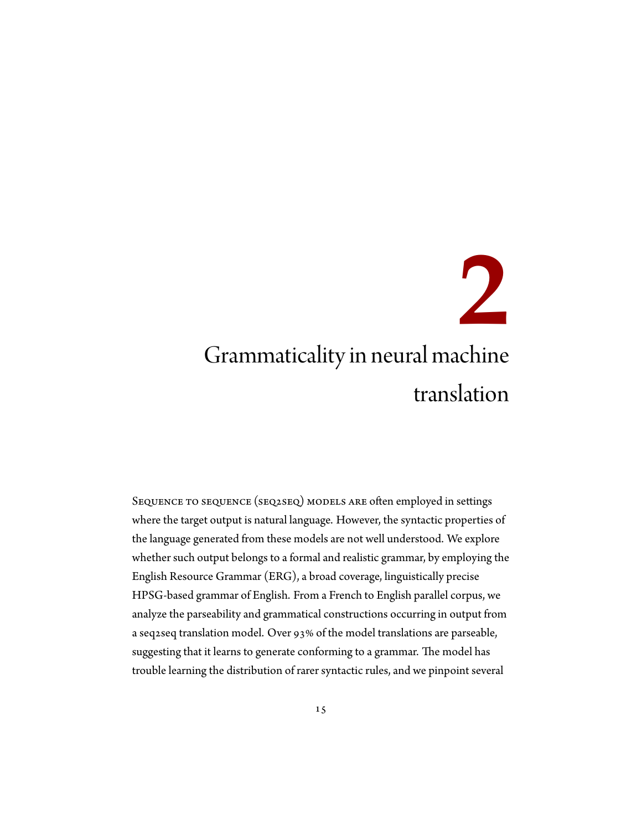# <span id="page-22-0"></span>**2** Grammaticality in neural machine translation

Sequence to sequence (seq2seq) models are often employed in settings where the target output is natural language. However, the syntactic properties of the language generated from these models are not well understood. We explore whether such output belongs to a formal and realistic grammar, by employing the English Resource Grammar (ERG), a broad coverage, linguistically precise HPSG-based grammar of English. From a French to English parallel corpus, we analyze the parseability and grammatical constructions occurring in output from a seq2seq translation model. Over 93% of the model translations are parseable, suggesting that it learns to generate conforming to a grammar. The model has trouble learning the distribution of rarer syntactic rules, and we pinpoint several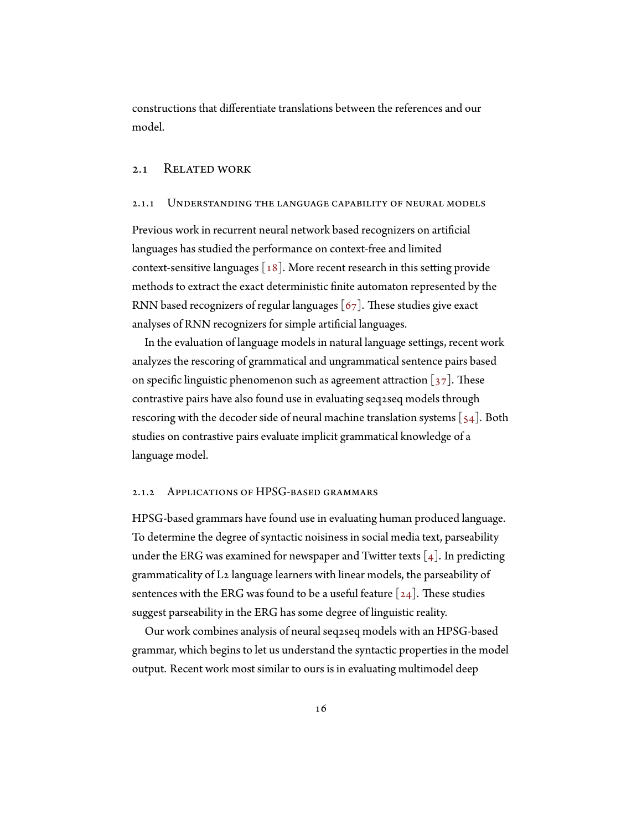<span id="page-23-0"></span>constructions that differentiate translations between the references and our model.

#### 2.1 Related work

#### 2.1.1 Understanding the language capability of neural models

Previous work in recurrent neural network based recognizers on artificial languages has studied the performance on context-free and limited context-sensitivelanguages  $\lceil 18 \rceil$  $\lceil 18 \rceil$  $\lceil 18 \rceil$ . More recent research in this setting provide methods to extract the exact deterministic finite automaton represented by the RNN based recognizers of regular languages  $[67]$ . These studies give exact analyses of RNN recognizers for simple artificial languages.

In the evaluation of language models in natural language settings, recent work analyzes the rescoring of grammatical and ungrammatical sentence pairs based onspecific linguistic phenomenon such as agreement attraction  $\left[37\right]$  $\left[37\right]$  $\left[37\right]$ . These contrastive pairs have also found use in evaluating seq2seq models through rescoringwith the decoder side of neural machine translation systems  $\lceil 54 \rceil$ . Both studies on contrastive pairs evaluate implicit grammatical knowledge of a language model.

#### 2.1.2 APPLICATIONS OF HPSG-BASED GRAMMARS

HPSG-based grammars have found use in evaluating human produced language. To determine the degree of syntactic noisiness in social media text, parseability under the ERG was examined for newspaper and Twitter texts  $\lceil 4 \rceil$ . In predicting grammaticality of L2 language learners with linear models, the parseability of sentenceswith the ERG was found to be a useful feature  $\lceil 24 \rceil$ . These studies suggest parseability in the ERG has some degree of linguistic reality.

Our work combines analysis of neural seq2seq models with an HPSG-based grammar, which begins to let us understand the syntactic properties in the model output. Recent work most similar to ours is in evaluating multimodel deep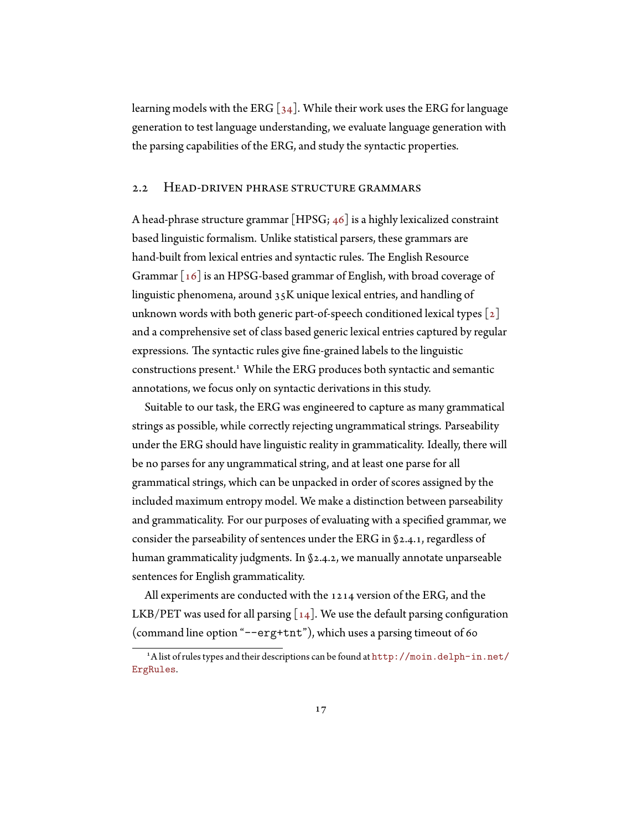learning models with the ERG  $[34]$ . While their work uses the ERG for language generation to test language understanding, we evaluate language generation with the parsing capabilities of the ERG, and study the syntactic properties.

#### <span id="page-24-0"></span>2.2 Head-driven phrase structure grammars

A head-phrase structure grammar [HPSG; [46](#page-37-6)] is a highly lexicalized constraint based linguistic formalism. Unlike statistical parsers, these grammars are hand-built from lexical entries and syntactic rules. The English Resource Grammar [\[16\]](#page-33-5) is an HPSG-based grammar of English, with broad coverage of linguistic phenomena, around 35K unique lexical entries, and handling of unknownwords with both generic part-of-speech conditioned lexical types  $\lceil 2 \rceil$  $\lceil 2 \rceil$  $\lceil 2 \rceil$ and a comprehensive set of class based generic lexical entries captured by regular expressions. The syntactic rules give fine-grained labels to the linguistic constructions present.<sup>1</sup> While the ERG produces both syntactic and semantic annotations, we focus only on syntactic derivations in this study.

Suitable to our task, the ERG was engineered to capture as many grammatical strings as possible, while correctly rejecting ungrammatical strings. Parseability under the ERG should have linguistic reality in grammaticality. Ideally, there will be no parses for any ungrammatical string, and at least one parse for all grammatical strings, which can be unpacked in order of scores assigned by the included maximum entropy model. We make a distinction between parseability and grammaticality. For our purposes of evaluating with a specified grammar, we consider the parseability of sentences under the ERG in§[2.4.1](#page-27-1), regardless of human grammaticality judgments. In [§2.4.2,](#page-28-0) we manually annotate unparseable sentences for English grammaticality.

All experiments are conducted with the 1214 version of the ERG, and the LKB/PETwas used for all parsing  $\lceil 14 \rceil$ . We use the default parsing configuration (command line option "--erg+tnt"), which uses a parsing timeout of 60

<sup>&</sup>lt;sup>1</sup>A list of rules types and their descriptions can be found at  $http://moin.delph-in.net/$ [ErgRules](http://moin.delph-in.net/ErgRules).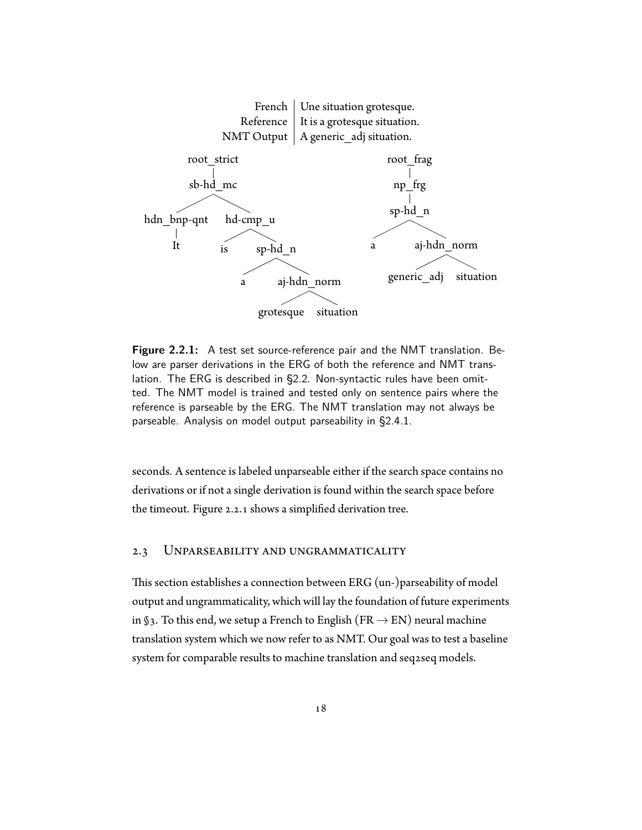<span id="page-25-1"></span>

**Figure 2.2.1:** A test set source-reference pair and the NMT translation. Below are parser derivations in the ERG of both the reference and NMT translation. The ERG is described in [§2.2](#page-24-0). Non-syntactic rules have been omitted. The NMT model is trained and tested only on sentence pairs where the reference is parseable by the ERG. The NMT translation may not always be parseable. Analysis on model output parseability in §[2.4.1](#page-27-1).

seconds. A sentence is labeled unparseable either if the search space contains no derivations or if not a single derivation is found within the search space before the timeout. Figure [2.2.1](#page-25-1) shows a simplified derivation tree.

#### <span id="page-25-0"></span>2.3 Unparseability and ungrammaticality

This section establishes a connection between ERG (un-)parseability of model output and ungrammaticality, which will lay the foundation of future experiments in §3. To this end, we setup a French to English (FR *→* EN) neural machine translation system which we now refer to as NMT. Our goal was to test a baseline system for comparable results to machine translation and seq2seq models.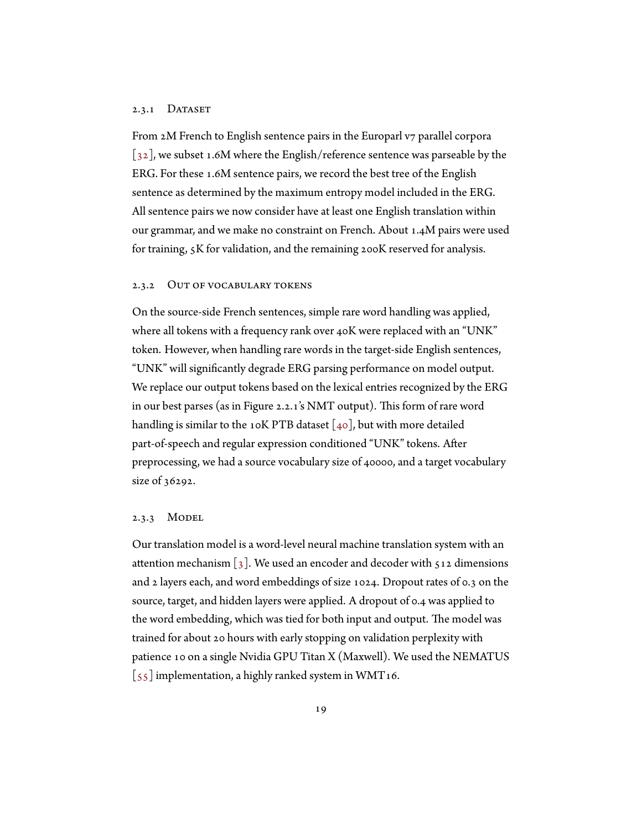#### 2.3.1 DATASET

From 2M French to English sentence pairs in the Europarl v7 parallel corpora [[32\]](#page-35-8), we subset 1.6M where the English/reference sentence was parseable by the ERG. For these 1.6M sentence pairs, we record the best tree of the English sentence as determined by the maximum entropy model included in the ERG. All sentence pairs we now consider have at least one English translation within our grammar, and we make no constraint on French. About 1.4M pairs were used for training, 5K for validation, and the remaining 200K reserved for analysis.

#### 2.3.2 Out of vocabulary tokens

On the source-side French sentences, simple rare word handling was applied, where all tokens with a frequency rank over 40K were replaced with an "UNK" token. However, when handling rare words in the target-side English sentences, "UNK" will significantly degrade ERG parsing performance on model output. We replace our output tokens based on the lexical entries recognized by the ERG in our best parses (as in Figure [2.2.1'](#page-25-1)s NMT output). This form of rare word handlingis similar to the 10K PTB dataset  $\lceil 40 \rceil$  $\lceil 40 \rceil$  $\lceil 40 \rceil$ , but with more detailed part-of-speech and regular expression conditioned "UNK" tokens. After preprocessing, we had a source vocabulary size of 40000, and a target vocabulary size of 36292.

#### 2.3.3 MODEL

Our translation model is a word-level neural machine translation system with an attentionmechanism  $\lbrack 3 \rbrack$ . We used an encoder and decoder with 512 dimensions and 2 layers each, and word embeddings of size 1024. Dropout rates of 0.3 on the source, target, and hidden layers were applied. A dropout of 0.4 was applied to the word embedding, which was tied for both input and output. The model was trained for about 20 hours with early stopping on validation perplexity with patience 10 on a single Nvidia GPU Titan X (Maxwell). We used the NEMATUS  $\left[55\right]$  implementation, a highly ranked system in WMT16.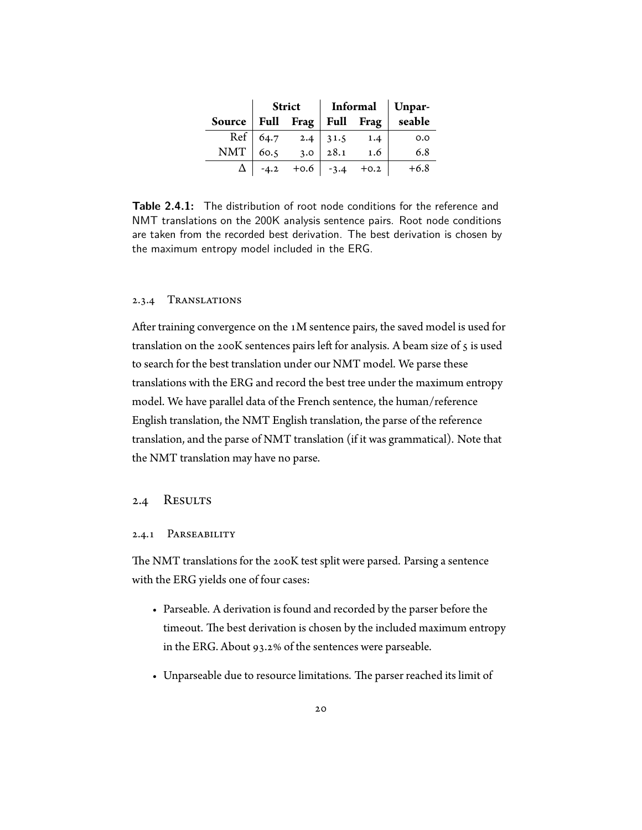<span id="page-27-1"></span>

|     | <b>Strict</b> |                                       | $ $ Informal $ $ Unpar- |     |                                         |
|-----|---------------|---------------------------------------|-------------------------|-----|-----------------------------------------|
|     |               |                                       |                         |     | Source   Full Frag   Full Frag   seable |
|     |               | Ref 64.7 2.4 31.5<br>MT 60.5 3.0 28.1 |                         | 1.4 | 0.0                                     |
| NMT |               | 3.0 <sup>1</sup>                      |                         | 1.6 | 6.8                                     |
|     |               | $-4.2$ +0.6 $-3.4$ +0.2               |                         |     | $+6.8$                                  |

**Table 2.4.1:** The distribution of root node conditions for the reference and NMT translations on the 200K analysis sentence pairs. Root node conditions are taken from the recorded best derivation. The best derivation is chosen by the maximum entropy model included in the ERG.

#### 2.3.4 Translations

After training convergence on the 1M sentence pairs, the saved model is used for translation on the 200K sentences pairs left for analysis. A beam size of 5 is used to search for the best translation under our NMT model. We parse these translations with the ERG and record the best tree under the maximum entropy model. We have parallel data of the French sentence, the human/reference English translation, the NMT English translation, the parse of the reference translation, and the parse of NMT translation (if it was grammatical). Note that the NMT translation may have no parse.

#### <span id="page-27-0"></span>2.4 RESULTS

#### 2.4.1 Parseability

The NMT translations for the 200K test split were parsed. Parsing a sentence with the ERG yields one of four cases:

- Parseable. A derivation is found and recorded by the parser before the timeout. The best derivation is chosen by the included maximum entropy in the ERG. About 93.2% of the sentences were parseable.
- Unparseable due to resource limitations. The parser reached its limit of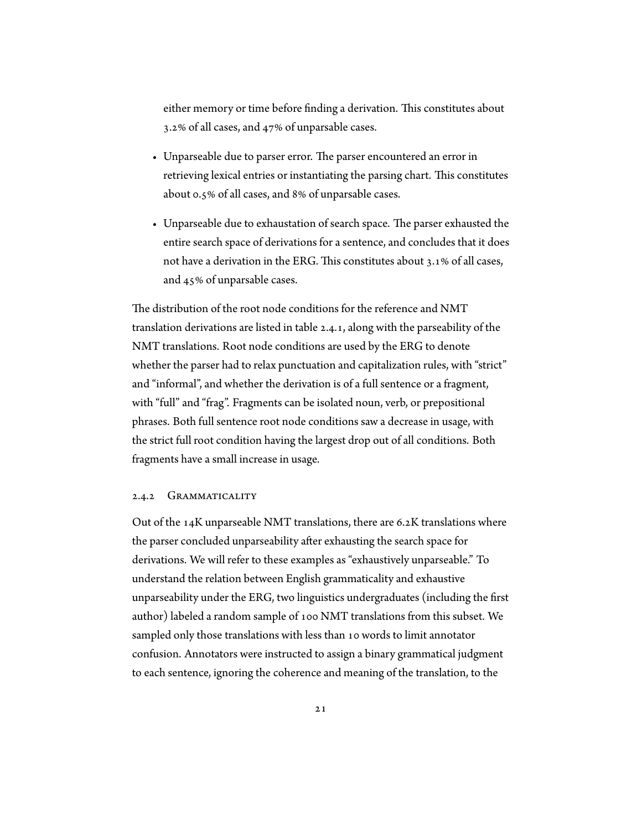either memory or time before finding a derivation. This constitutes about 3.2% of all cases, and 47% of unparsable cases.

- Unparseable due to parser error. The parser encountered an error in retrieving lexical entries or instantiating the parsing chart. This constitutes about 0.5% of all cases, and 8% of unparsable cases.
- Unparseable due to exhaustation of search space. The parser exhausted the entire search space of derivations for a sentence, and concludes that it does not have a derivation in the ERG. This constitutes about 3.1% of all cases, and 45% of unparsable cases.

The distribution of the root node conditions for the reference and NMT translation derivations are listed in table [2.4.1](#page-27-1), along with the parseability of the NMT translations. Root node conditions are used by the ERG to denote whether the parser had to relax punctuation and capitalization rules, with "strict" and "informal", and whether the derivation is of a full sentence or a fragment, with "full" and "frag". Fragments can be isolated noun, verb, or prepositional phrases. Both full sentence root node conditions saw a decrease in usage, with the strict full root condition having the largest drop out of all conditions. Both fragments have a small increase in usage.

#### <span id="page-28-0"></span>2.4.2 GRAMMATICALITY

Out of the  $14K$  unparseable NMT translations, there are 6.2K translations where the parser concluded unparseability after exhausting the search space for derivations. We will refer to these examples as "exhaustively unparseable." To understand the relation between English grammaticality and exhaustive unparseability under the ERG, two linguistics undergraduates (including the first author) labeled a random sample of 100 NMT translations from this subset. We sampled only those translations with less than 10 words to limit annotator confusion. Annotators were instructed to assign a binary grammatical judgment to each sentence, ignoring the coherence and meaning of the translation, to the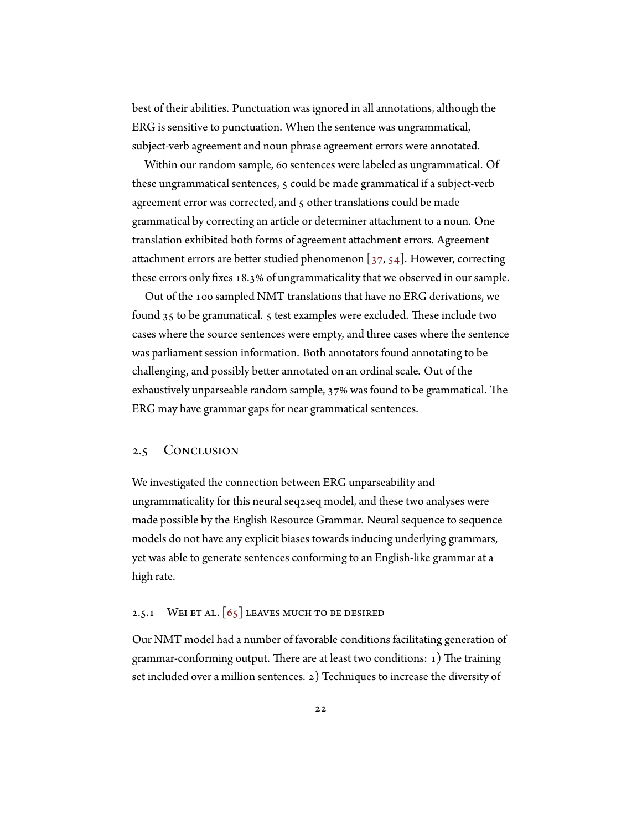best of their abilities. Punctuation was ignored in all annotations, although the ERG is sensitive to punctuation. When the sentence was ungrammatical, subject-verb agreement and noun phrase agreement errors were annotated.

Within our random sample, 60 sentences were labeled as ungrammatical. Of these ungrammatical sentences, 5 could be made grammatical if a subject-verb agreement error was corrected, and 5 other translations could be made grammatical by correcting an article or determiner attachment to a noun. One translation exhibited both forms of agreement attachment errors. Agreement attachment errors are better studied phenomenon  $\left[37, 54\right]$  $\left[37, 54\right]$  $\left[37, 54\right]$ . However, correcting these errors only fixes 18.3% of ungrammaticality that we observed in our sample.

Out of the 100 sampled NMT translations that have no ERG derivations, we found 35 to be grammatical. 5 test examples were excluded. These include two cases where the source sentences were empty, and three cases where the sentence was parliament session information. Both annotators found annotating to be challenging, and possibly better annotated on an ordinal scale. Out of the exhaustively unparseable random sample, 37% was found to be grammatical. The ERG may have grammar gaps for near grammatical sentences.

#### <span id="page-29-0"></span>2.5 Conclusion

We investigated the connection between ERG unparseability and ungrammaticality for this neural seq2seq model, and these two analyses were made possible by the English Resource Grammar. Neural sequence to sequence models do not have any explicit biases towards inducing underlying grammars, yet was able to generate sentences conforming to an English-like grammar at a high rate.

#### 2.5.1 WEI ET AL.  $\lceil 65 \rceil$  LEAVES MUCH TO BE DESIRED

Our NMT model had a number of favorable conditions facilitating generation of grammar-conforming output. There are at least two conditions: 1) The training set included over a million sentences. 2) Techniques to increase the diversity of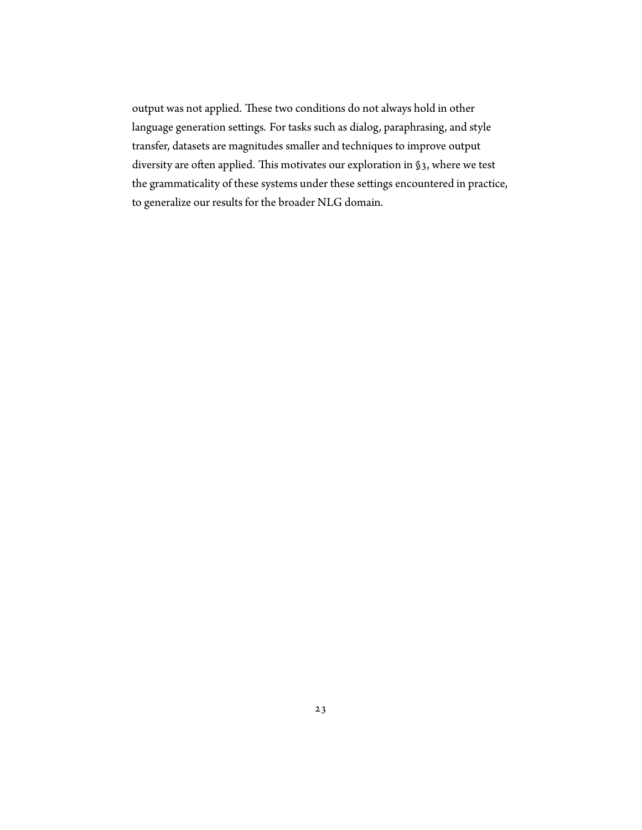output was not applied. These two conditions do not always hold in other language generation settings. For tasks such as dialog, paraphrasing, and style transfer, datasets are magnitudes smaller and techniques to improve output diversity are often applied. This motivates our exploration in §3, where we test the grammaticality of these systems under these settings encountered in practice, to generalize our results for the broader NLG domain.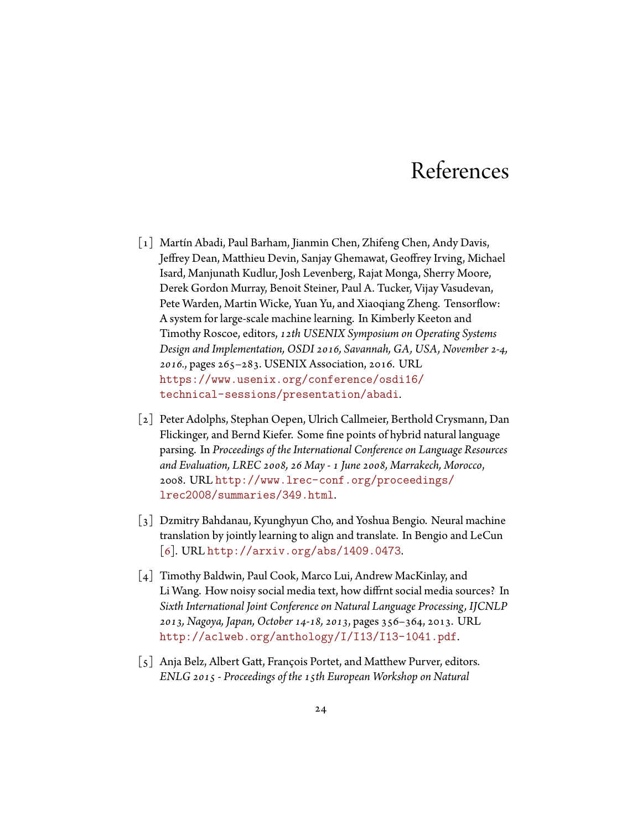### References

- <span id="page-31-2"></span><span id="page-31-0"></span>[1] Martín Abadi, Paul Barham, Jianmin Chen, Zhifeng Chen, Andy Davis, Jeffrey Dean, Matthieu Devin, Sanjay Ghemawat, Geoffrey Irving, Michael Isard, Manjunath Kudlur, Josh Levenberg, Rajat Monga, Sherry Moore, Derek Gordon Murray, Benoit Steiner, Paul A. Tucker, Vijay Vasudevan, Pete Warden, Martin Wicke, Yuan Yu, and Xiaoqiang Zheng. Tensorflow: A system for large-scale machine learning. In Kimberly Keeton and Timothy Roscoe, editors, *12th USENIX Symposium on Operating Systems Design and Implementation, OSDI 2016, Savannah, GA, USA, November 2-4, 2016.*, pages 265–283. USENIX Association, 2016. URL [https://www.usenix.org/conference/osdi16/](https://www.usenix.org/conference/osdi16/technical-sessions/presentation/abadi) [technical-sessions/presentation/abadi](https://www.usenix.org/conference/osdi16/technical-sessions/presentation/abadi).
- <span id="page-31-5"></span>[2] Peter Adolphs, Stephan Oepen, Ulrich Callmeier, Berthold Crysmann, Dan Flickinger, and Bernd Kiefer. Some fine points of hybrid natural language parsing. In *Proceedings of the International Conference on Language Resources and Evaluation, LREC 2008, 26 May - 1 June 2008, Marrakech, Morocco*, 2008. URL [http://www.lrec-conf.org/proceedings/](http://www.lrec-conf.org/proceedings/lrec2008/summaries/349.html) [lrec2008/summaries/349.html](http://www.lrec-conf.org/proceedings/lrec2008/summaries/349.html).
- <span id="page-31-3"></span>[3] Dzmitry Bahdanau, Kyunghyun Cho, and Yoshua Bengio. Neural machine translation by jointly learning to align and translate. In Bengio and LeCun [[6\]](#page-32-4). URL <http://arxiv.org/abs/1409.0473>.
- <span id="page-31-4"></span>[4] Timothy Baldwin, Paul Cook, Marco Lui, Andrew MacKinlay, and Li Wang. How noisy social media text, how diffrnt social media sources? In *Sixth International Joint Conference on Natural Language Processing, IJCNLP 2013, Nagoya, Japan, October 14-18, 2013*, pages 356–364, 2013. URL <http://aclweb.org/anthology/I/I13/I13-1041.pdf>.
- <span id="page-31-1"></span>[5] Anja Belz, Albert Gatt, François Portet, and Matthew Purver, editors. *ENLG 2015 - Proceedings of the 15th European Workshop on Natural*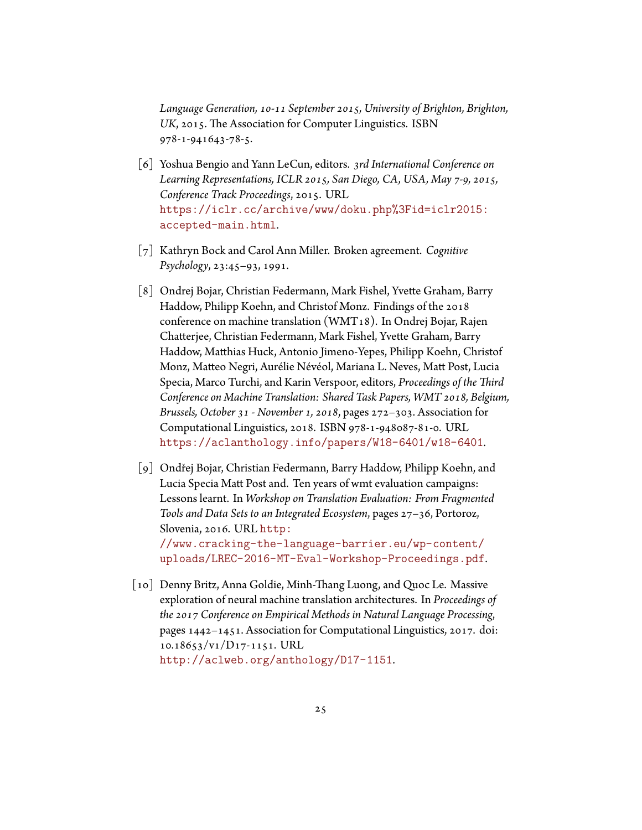*Language Generation, 10-11 September 2015, University of Brighton, Brighton, UK*, 2015. The Association for Computer Linguistics. ISBN 978-1-941643-78-5.

- <span id="page-32-4"></span>[6] Yoshua Bengio and Yann LeCun, editors. *3rd International Conference on Learning Representations, ICLR 2015, San Diego, CA, USA, May 7-9, 2015, Conference Track Proceedings*, 2015. URL [https://iclr.cc/archive/www/doku.php%3Fid=iclr2015:](https://iclr.cc/archive/www/doku.php%3Fid=iclr2015:accepted-main.html) [accepted-main.html](https://iclr.cc/archive/www/doku.php%3Fid=iclr2015:accepted-main.html).
- <span id="page-32-0"></span>[7] Kathryn Bock and Carol Ann Miller. Broken agreement. *Cognitive Psychology*, 23:45–93, 1991.
- <span id="page-32-2"></span>[8] Ondrej Bojar, Christian Federmann, Mark Fishel, Yvette Graham, Barry Haddow, Philipp Koehn, and Christof Monz. Findings of the 2018 conference on machine translation (WMT18). In Ondrej Bojar, Rajen Chatterjee, Christian Federmann, Mark Fishel, Yvette Graham, Barry Haddow, Matthias Huck, Antonio Jimeno-Yepes, Philipp Koehn, Christof Monz, Matteo Negri, Aurélie Névéol, Mariana L. Neves, Matt Post, Lucia Specia, Marco Turchi, and Karin Verspoor, editors, *Proceedings of the Third Conference on Machine Translation: Shared Task Papers, WMT 2018, Belgium, Brussels, October 31 - November 1, 2018*, pages 272–303. Association for Computational Linguistics, 2018. ISBN 978-1-948087-81-0. URL <https://aclanthology.info/papers/W18-6401/w18-6401>.
- <span id="page-32-1"></span>[9] Ondřej Bojar, Christian Federmann, Barry Haddow, Philipp Koehn, and Lucia Specia Matt Post and. Ten years of wmt evaluation campaigns: Lessons learnt. In *Workshop on Translation Evaluation: From Fragmented Tools and Data Sets to an Integrated Ecosystem*, pages 27–36, Portoroz, Slovenia, 2016. URL [http:](http://www.cracking-the-language-barrier.eu/wp-content/uploads/LREC-2016-MT-Eval-Workshop-Proceedings.pdf) [//www.cracking-the-language-barrier.eu/wp-content/](http://www.cracking-the-language-barrier.eu/wp-content/uploads/LREC-2016-MT-Eval-Workshop-Proceedings.pdf)

[uploads/LREC-2016-MT-Eval-Workshop-Proceedings.pdf](http://www.cracking-the-language-barrier.eu/wp-content/uploads/LREC-2016-MT-Eval-Workshop-Proceedings.pdf).

<span id="page-32-3"></span>[10] Denny Britz, Anna Goldie, Minh-Thang Luong, and Quoc Le. Massive exploration of neural machine translation architectures. In *Proceedings of the 2017 Conference on Empirical Methods in Natural Language Processing*, pages 1442–1451. Association for Computational Linguistics, 2017. doi: 10.18653/v1/D17-1151. URL <http://aclweb.org/anthology/D17-1151>.

25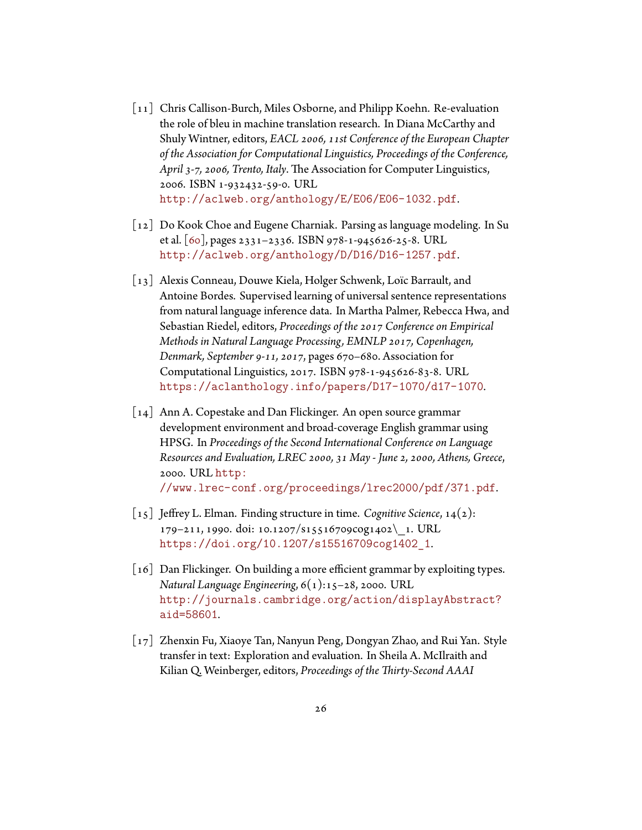- <span id="page-33-0"></span>[11] Chris Callison-Burch, Miles Osborne, and Philipp Koehn. Re-evaluation the role of bleu in machine translation research. In Diana McCarthy and Shuly Wintner, editors, *EACL 2006, 11st Conference of the European Chapter of the Association for Computational Linguistics, Proceedings of the Conference, April 3-7, 2006, Trento, Italy*. The Association for Computer Linguistics, 2006. ISBN 1-932432-59-0. URL <http://aclweb.org/anthology/E/E06/E06-1032.pdf>.
- <span id="page-33-2"></span>[12] Do Kook Choe and Eugene Charniak. Parsing as language modeling. In Su et al. [\[60](#page-39-5)], pages 2331–2336. ISBN 978-1-945626-25-8. URL <http://aclweb.org/anthology/D/D16/D16-1257.pdf>.
- <span id="page-33-3"></span>[13] Alexis Conneau, Douwe Kiela, Holger Schwenk, Loïc Barrault, and Antoine Bordes. Supervised learning of universal sentence representations from natural language inference data. In Martha Palmer, Rebecca Hwa, and Sebastian Riedel, editors, *Proceedings of the 2017 Conference on Empirical Methods in Natural Language Processing, EMNLP 2017, Copenhagen, Denmark, September 9-11, 2017*, pages 670–680. Association for Computational Linguistics, 2017. ISBN 978-1-945626-83-8. URL <https://aclanthology.info/papers/D17-1070/d17-1070>.
- <span id="page-33-6"></span>[14] Ann A. Copestake and Dan Flickinger. An open source grammar development environment and broad-coverage English grammar using HPSG. In *Proceedings of the Second International Conference on Language Resources and Evaluation, LREC 2000, 31 May - June 2, 2000, Athens, Greece*, 2000. URL [http:](http://www.lrec-conf.org/proceedings/lrec2000/pdf/371.pdf) [//www.lrec-conf.org/proceedings/lrec2000/pdf/371.pdf](http://www.lrec-conf.org/proceedings/lrec2000/pdf/371.pdf).
- <span id="page-33-1"></span>[15] Jeffrey L. Elman. Finding structure in time. *Cognitive Science*, 14(2): 179–211, 1990. doi: 10.1207/s15516709cog1402\\_1. URL [https://doi.org/10.1207/s15516709cog1402\\_1](https://doi.org/10.1207/s15516709cog1402_1).
- <span id="page-33-5"></span>[16] Dan Flickinger. On building a more efficient grammar by exploiting types. *Natural Language Engineering*, 6(1):15–28, 2000. URL [http://journals.cambridge.org/action/displayAbstract?](http://journals.cambridge.org/action/displayAbstract?aid=58601) [aid=58601](http://journals.cambridge.org/action/displayAbstract?aid=58601).
- <span id="page-33-4"></span>[17] Zhenxin Fu, Xiaoye Tan, Nanyun Peng, Dongyan Zhao, and Rui Yan. Style transfer in text: Exploration and evaluation. In Sheila A. McIlraith and Kilian Q. Weinberger, editors, *Proceedings of the Thirty-Second AAAI*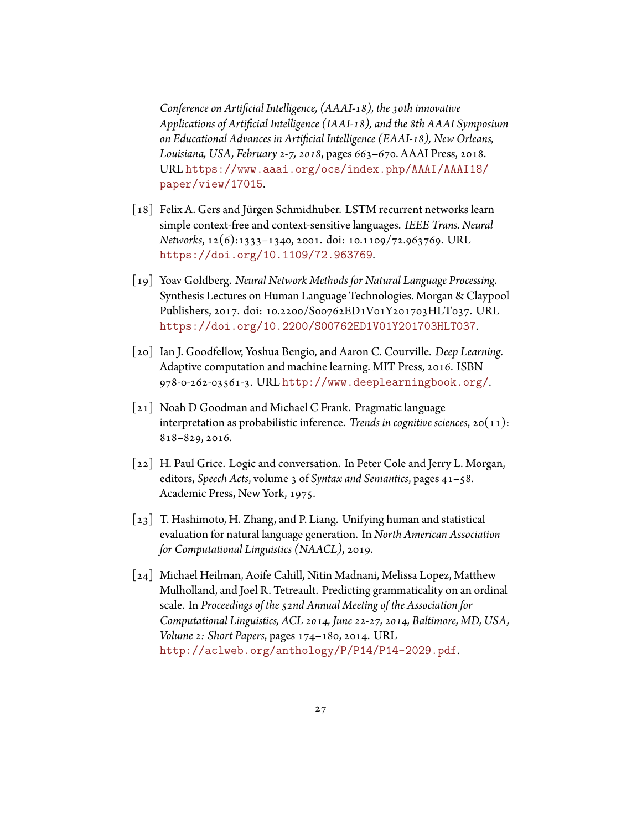*Conference on Artificial Intelligence, (AAAI-18), the 30th innovative Applications of Artificial Intelligence (IAAI-18), and the 8th AAAI Symposium on Educational Advances in Artificial Intelligence (EAAI-18), New Orleans, Louisiana, USA, February 2-7, 2018*, pages 663–670. AAAI Press, 2018. URL [https://www.aaai.org/ocs/index.php/AAAI/AAAI18/](https://www.aaai.org/ocs/index.php/AAAI/AAAI18/paper/view/17015) [paper/view/17015](https://www.aaai.org/ocs/index.php/AAAI/AAAI18/paper/view/17015).

- <span id="page-34-5"></span>[18] Felix A. Gers and Jürgen Schmidhuber. LSTM recurrent networks learn simple context-free and context-sensitive languages. *IEEE Trans. Neural Networks*, 12(6):1333–1340, 2001. doi: 10.1109/72.963769. URL <https://doi.org/10.1109/72.963769>.
- <span id="page-34-3"></span>[19] Yoav Goldberg. *Neural Network Methods for Natural Language Processing*. Synthesis Lectures on Human Language Technologies. Morgan & Claypool Publishers, 2017. doi: 10.2200/S00762ED1V01Y201703HLT037. URL <https://doi.org/10.2200/S00762ED1V01Y201703HLT037>.
- <span id="page-34-4"></span>[20] Ian J. Goodfellow, Yoshua Bengio, and Aaron C. Courville. *Deep Learning*. Adaptive computation and machine learning. MIT Press, 2016. ISBN 978-0-262-03561-3. URL <http://www.deeplearningbook.org/>.
- <span id="page-34-2"></span>[21] Noah D Goodman and Michael C Frank. Pragmatic language interpretation as probabilistic inference. *Trends in cognitive sciences*, 20(11): 818–829, 2016.
- <span id="page-34-1"></span>[22] H. Paul Grice. Logic and conversation. In Peter Cole and Jerry L. Morgan, editors, *Speech Acts*, volume 3 of *Syntax and Semantics*, pages 41–58. Academic Press, New York, 1975.
- <span id="page-34-0"></span>[23] T. Hashimoto, H. Zhang, and P. Liang. Unifying human and statistical evaluation for natural language generation. In *North American Association for Computational Linguistics (NAACL)*, 2019.
- <span id="page-34-6"></span>[24] Michael Heilman, Aoife Cahill, Nitin Madnani, Melissa Lopez, Matthew Mulholland, and Joel R. Tetreault. Predicting grammaticality on an ordinal scale. In *Proceedings of the 52nd Annual Meeting of the Association for Computational Linguistics, ACL 2014, June 22-27, 2014, Baltimore, MD, USA, Volume 2: Short Papers*, pages 174–180, 2014. URL <http://aclweb.org/anthology/P/P14/P14-2029.pdf>.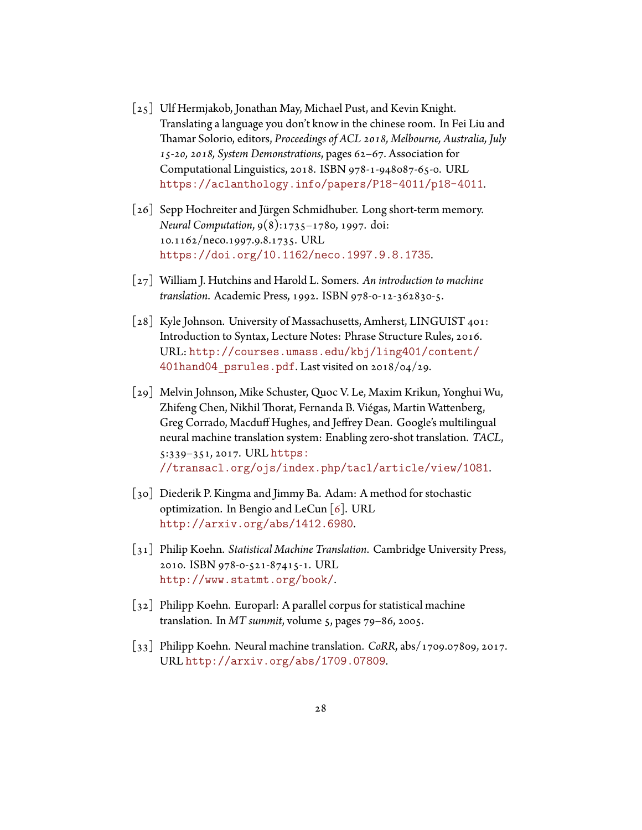- <span id="page-35-1"></span>[25] Ulf Hermjakob, Jonathan May, Michael Pust, and Kevin Knight. Translating a language you don't know in the chinese room. In Fei Liu and Thamar Solorio, editors, *Proceedings of ACL 2018, Melbourne, Australia, July 15-20, 2018, System Demonstrations*, pages 62–67. Association for Computational Linguistics, 2018. ISBN 978-1-948087-65-0. URL <https://aclanthology.info/papers/P18-4011/p18-4011>.
- <span id="page-35-5"></span>[26] Sepp Hochreiter and Jürgen Schmidhuber. Long short-term memory. *Neural Computation*, 9(8):1735–1780, 1997. doi: 10.1162/neco.1997.9.8.1735. URL <https://doi.org/10.1162/neco.1997.9.8.1735>.
- <span id="page-35-0"></span>[27] William J. Hutchins and Harold L. Somers. *An introduction to machine translation*. Academic Press, 1992. ISBN 978-0-12-362830-5.
- <span id="page-35-7"></span>[28] Kyle Johnson. University of Massachusetts, Amherst, LINGUIST 401: Introduction to Syntax, Lecture Notes: Phrase Structure Rules, 2016. URL: [http://courses.umass.edu/kbj/ling401/content/](http://courses.umass.edu/kbj/ling401/content/401hand04_psrules.pdf) 401hand04 psrules.pdf. Last visited on 2018/04/29.
- <span id="page-35-2"></span>[29] Melvin Johnson, Mike Schuster, Quoc V. Le, Maxim Krikun, Yonghui Wu, Zhifeng Chen, Nikhil Thorat, Fernanda B. Viégas, Martin Wattenberg, Greg Corrado, Macduff Hughes, and Jeffrey Dean. Google's multilingual neural machine translation system: Enabling zero-shot translation. *TACL*, 5:339–351, 2017. URL [https:](https://transacl.org/ojs/index.php/tacl/article/view/1081) [//transacl.org/ojs/index.php/tacl/article/view/1081](https://transacl.org/ojs/index.php/tacl/article/view/1081).
- <span id="page-35-4"></span>[30] Diederik P. Kingma and Jimmy Ba. Adam: A method for stochastic optimization.In Bengio and LeCun  $\lceil 6 \rceil$ . URL <http://arxiv.org/abs/1412.6980>.
- <span id="page-35-3"></span>[31] Philip Koehn. *Statistical Machine Translation*. Cambridge University Press, 2010. ISBN 978-0-521-87415-1. URL <http://www.statmt.org/book/>.
- <span id="page-35-8"></span>[32] Philipp Koehn. Europarl: A parallel corpus for statistical machine translation. In *MT summit*, volume 5, pages 79–86, 2005.
- <span id="page-35-6"></span>[33] Philipp Koehn. Neural machine translation. *CoRR*, abs/1709.07809, 2017. URL <http://arxiv.org/abs/1709.07809>.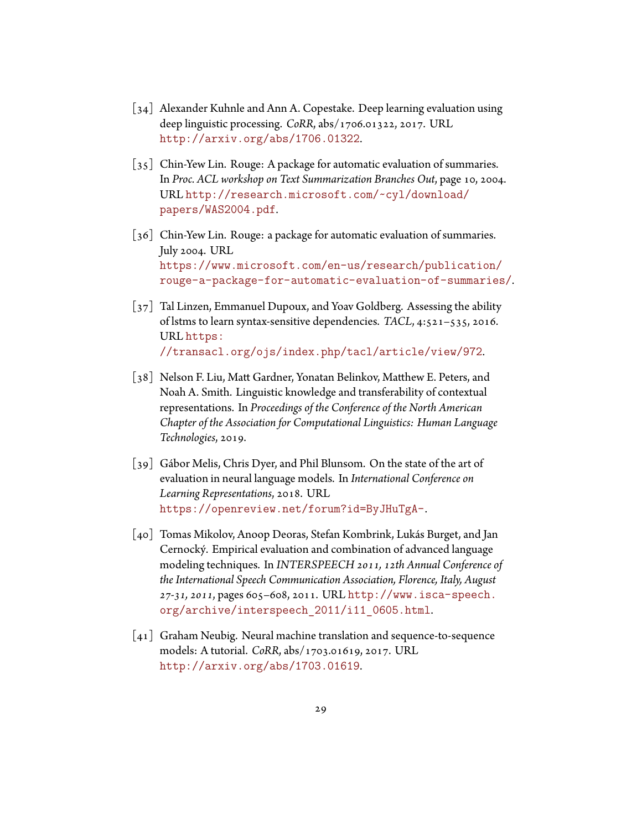- <span id="page-36-6"></span>[34] Alexander Kuhnle and Ann A. Copestake. Deep learning evaluation using deep linguistic processing. *CoRR*, abs/1706.01322, 2017. URL <http://arxiv.org/abs/1706.01322>.
- <span id="page-36-0"></span>[35] Chin-Yew Lin. Rouge: A package for automatic evaluation of summaries. In *Proc. ACL workshop on Text Summarization Branches Out*, page 10, 2004. URL [http://research.microsoft.com/~cyl/download/](http://research.microsoft.com/~cyl/download/papers/WAS2004.pdf) [papers/WAS2004.pdf](http://research.microsoft.com/~cyl/download/papers/WAS2004.pdf).
- <span id="page-36-1"></span>[36] Chin-Yew Lin. Rouge: a package for automatic evaluation of summaries. July 2004. URL [https://www.microsoft.com/en-us/research/publication/](https://www.microsoft.com/en-us/research/publication/rouge-a-package-for-automatic-evaluation-of-summaries/) [rouge-a-package-for-automatic-evaluation-of-summaries/](https://www.microsoft.com/en-us/research/publication/rouge-a-package-for-automatic-evaluation-of-summaries/).
- <span id="page-36-5"></span>[37] Tal Linzen, Emmanuel Dupoux, and Yoav Goldberg. Assessing the ability of lstms to learn syntax-sensitive dependencies. *TACL*, 4:521–535, 2016. URL [https:](https://transacl.org/ojs/index.php/tacl/article/view/972) [//transacl.org/ojs/index.php/tacl/article/view/972](https://transacl.org/ojs/index.php/tacl/article/view/972).
- <span id="page-36-3"></span>[38] Nelson F. Liu, Matt Gardner, Yonatan Belinkov, Matthew E. Peters, and Noah A. Smith. Linguistic knowledge and transferability of contextual representations. In *Proceedings of the Conference of the North American Chapter of the Association for Computational Linguistics: Human Language Technologies*, 2019.
- <span id="page-36-2"></span>[39] Gábor Melis, Chris Dyer, and Phil Blunsom. On the state of the art of evaluation in neural language models. In *International Conference on Learning Representations*, 2018. URL <https://openreview.net/forum?id=ByJHuTgA->.
- <span id="page-36-7"></span>[40] Tomas Mikolov, Anoop Deoras, Stefan Kombrink, Lukás Burget, and Jan Cernocký. Empirical evaluation and combination of advanced language modeling techniques. In *INTERSPEECH 2011, 12th Annual Conference of the International Speech Communication Association, Florence, Italy, August 27-31, 2011*, pages 605–608, 2011. URL [http://www.isca-speech.](http://www.isca-speech.org/archive/interspeech_2011/i11_0605.html) [org/archive/interspeech\\_2011/i11\\_0605.html](http://www.isca-speech.org/archive/interspeech_2011/i11_0605.html).
- <span id="page-36-4"></span>[41] Graham Neubig. Neural machine translation and sequence-to-sequence models: A tutorial. *CoRR*, abs/1703.01619, 2017. URL <http://arxiv.org/abs/1703.01619>.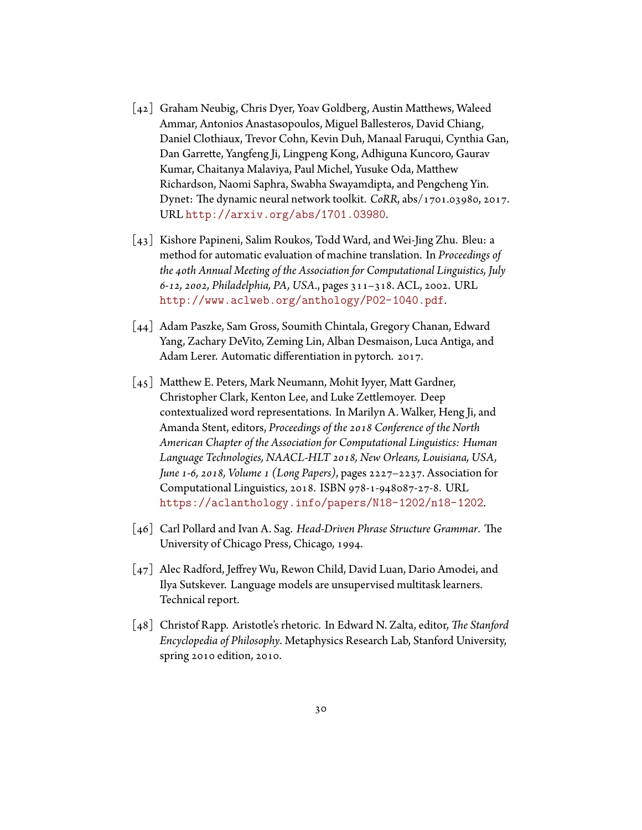- <span id="page-37-4"></span>[42] Graham Neubig, Chris Dyer, Yoav Goldberg, Austin Matthews, Waleed Ammar, Antonios Anastasopoulos, Miguel Ballesteros, David Chiang, Daniel Clothiaux, Trevor Cohn, Kevin Duh, Manaal Faruqui, Cynthia Gan, Dan Garrette, Yangfeng Ji, Lingpeng Kong, Adhiguna Kuncoro, Gaurav Kumar, Chaitanya Malaviya, Paul Michel, Yusuke Oda, Matthew Richardson, Naomi Saphra, Swabha Swayamdipta, and Pengcheng Yin. Dynet: The dynamic neural network toolkit. *CoRR*, abs/1701.03980, 2017. URL <http://arxiv.org/abs/1701.03980>.
- <span id="page-37-3"></span>[43] Kishore Papineni, Salim Roukos, Todd Ward, and Wei-Jing Zhu. Bleu: a method for automatic evaluation of machine translation. In *Proceedings of the 40th Annual Meeting of the Association for Computational Linguistics, July 6-12, 2002, Philadelphia, PA, USA.*, pages 311–318. ACL, 2002. URL <http://www.aclweb.org/anthology/P02-1040.pdf>.
- <span id="page-37-5"></span>[44] Adam Paszke, Sam Gross, Soumith Chintala, Gregory Chanan, Edward Yang, Zachary DeVito, Zeming Lin, Alban Desmaison, Luca Antiga, and Adam Lerer. Automatic differentiation in pytorch. 2017.
- <span id="page-37-1"></span>[45] Matthew E. Peters, Mark Neumann, Mohit Iyyer, Matt Gardner, Christopher Clark, Kenton Lee, and Luke Zettlemoyer. Deep contextualized word representations. In Marilyn A. Walker, Heng Ji, and Amanda Stent, editors, *Proceedings of the 2018 Conference of the North American Chapter of the Association for Computational Linguistics: Human Language Technologies, NAACL-HLT 2018, New Orleans, Louisiana, USA, June 1-6, 2018, Volume 1 (Long Papers)*, pages 2227–2237. Association for Computational Linguistics, 2018. ISBN 978-1-948087-27-8. URL <https://aclanthology.info/papers/N18-1202/n18-1202>.
- <span id="page-37-6"></span>[46] Carl Pollard and Ivan A. Sag. *Head-Driven Phrase Structure Grammar*. The University of Chicago Press, Chicago, 1994.
- <span id="page-37-0"></span>[47] Alec Radford, Jeffrey Wu, Rewon Child, David Luan, Dario Amodei, and Ilya Sutskever. Language models are unsupervised multitask learners. Technical report.
- <span id="page-37-2"></span>[48] Christof Rapp. Aristotle's rhetoric. In Edward N. Zalta, editor, *The Stanford Encyclopedia of Philosophy*. Metaphysics Research Lab, Stanford University, spring 2010 edition, 2010.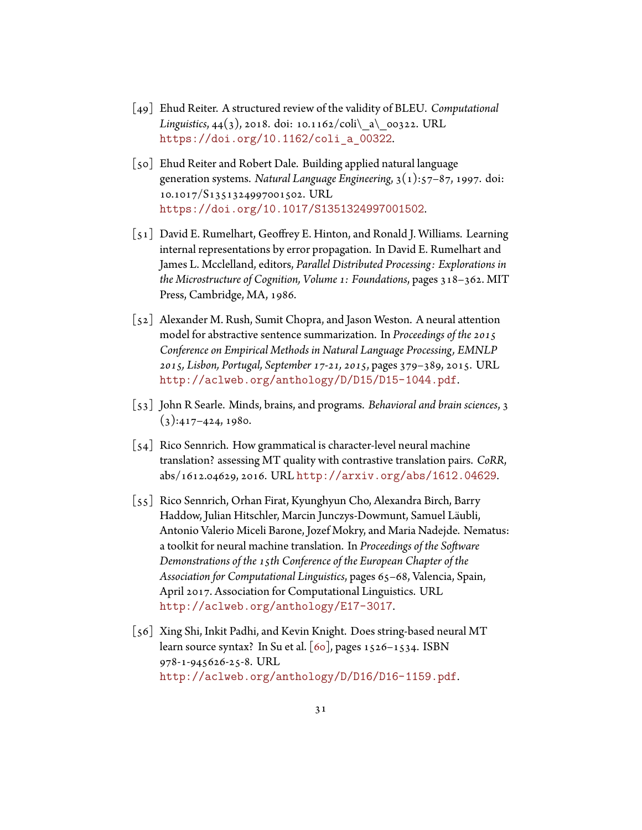- <span id="page-38-2"></span>[49] Ehud Reiter. A structured review of the validity of BLEU. *Computational Linguistics*, 44(3), 2018. doi: 10.1162/coli\ a\ 00322. URL [https://doi.org/10.1162/coli\\_a\\_00322](https://doi.org/10.1162/coli_a_00322).
- <span id="page-38-3"></span>[50] Ehud Reiter and Robert Dale. Building applied natural language generation systems. *Natural Language Engineering*, 3(1):57–87, 1997. doi: 10.1017/S1351324997001502. URL <https://doi.org/10.1017/S1351324997001502>.
- <span id="page-38-4"></span>[51] David E. Rumelhart, Geoffrey E. Hinton, and Ronald J. Williams. Learning internal representations by error propagation. In David E. Rumelhart and James L. Mcclelland, editors, *Parallel Distributed Processing: Explorations in the Microstructure of Cognition, Volume 1: Foundations*, pages 318–362. MIT Press, Cambridge, MA, 1986.
- <span id="page-38-5"></span>[52] Alexander M. Rush, Sumit Chopra, and Jason Weston. A neural attention model for abstractive sentence summarization. In *Proceedings of the 2015 Conference on Empirical Methods in Natural Language Processing, EMNLP 2015, Lisbon, Portugal, September 17-21, 2015*, pages 379–389, 2015. URL <http://aclweb.org/anthology/D/D15/D15-1044.pdf>.
- <span id="page-38-1"></span>[53] John R Searle. Minds, brains, and programs. *Behavioral and brain sciences*, 3  $(3): 417 - 424, 1980.$
- <span id="page-38-6"></span>[54] Rico Sennrich. How grammatical is character-level neural machine translation? assessing MT quality with contrastive translation pairs. *CoRR*, abs/1612.04629, 2016. URL <http://arxiv.org/abs/1612.04629>.
- <span id="page-38-7"></span>[55] Rico Sennrich, Orhan Firat, Kyunghyun Cho, Alexandra Birch, Barry Haddow, Julian Hitschler, Marcin Junczys-Dowmunt, Samuel Läubli, Antonio Valerio Miceli Barone, Jozef Mokry, and Maria Nadejde. Nematus: a toolkit for neural machine translation. In *Proceedings of the Software Demonstrations of the 15th Conference of the European Chapter of the Association for Computational Linguistics*, pages 65–68, Valencia, Spain, April 2017. Association for Computational Linguistics. URL <http://aclweb.org/anthology/E17-3017>.
- <span id="page-38-0"></span>[56] Xing Shi, Inkit Padhi, and Kevin Knight. Does string-based neural MT learn source syntax? In Su et al.  $\lceil 60 \rceil$ , pages 1526–1534. ISBN 978-1-945626-25-8. URL <http://aclweb.org/anthology/D/D16/D16-1159.pdf>.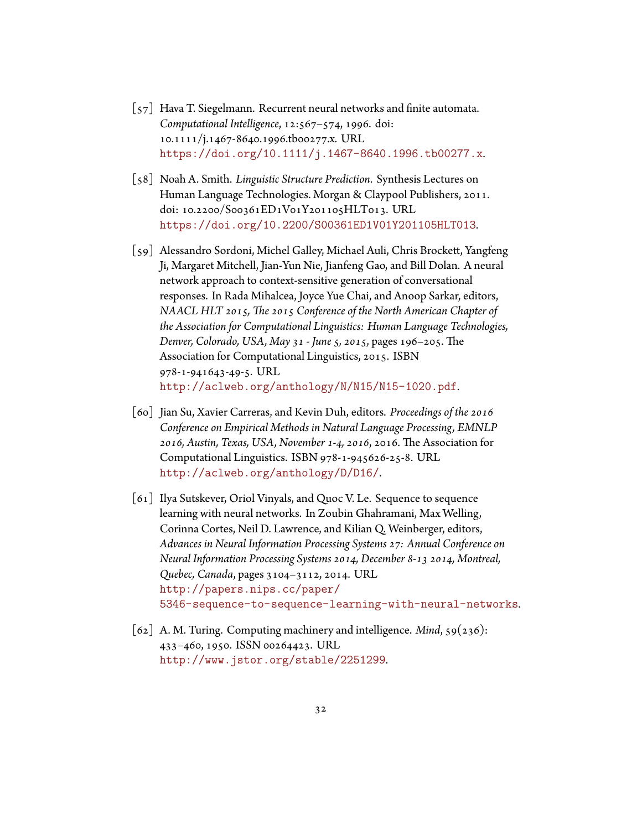- <span id="page-39-4"></span>[57] Hava T. Siegelmann. Recurrent neural networks and finite automata. *Computational Intelligence*, 12:567–574, 1996. doi: 10.1111/j.1467-8640.1996.tb00277.x. URL <https://doi.org/10.1111/j.1467-8640.1996.tb00277.x>.
- <span id="page-39-0"></span>[58] Noah A. Smith. *Linguistic Structure Prediction*. Synthesis Lectures on Human Language Technologies. Morgan & Claypool Publishers, 2011. doi: 10.2200/S00361ED1V01Y201105HLT013. URL <https://doi.org/10.2200/S00361ED1V01Y201105HLT013>.
- <span id="page-39-2"></span>[59] Alessandro Sordoni, Michel Galley, Michael Auli, Chris Brockett, Yangfeng Ji, Margaret Mitchell, Jian-Yun Nie, Jianfeng Gao, and Bill Dolan. A neural network approach to context-sensitive generation of conversational responses. In Rada Mihalcea, Joyce Yue Chai, and Anoop Sarkar, editors, *NAACL HLT 2015, The 2015 Conference of the North American Chapter of the Association for Computational Linguistics: Human Language Technologies, Denver, Colorado, USA, May 31 - June 5, 2015*, pages 196–205. The Association for Computational Linguistics, 2015. ISBN 978-1-941643-49-5. URL <http://aclweb.org/anthology/N/N15/N15-1020.pdf>.
- <span id="page-39-5"></span>[60] Jian Su, Xavier Carreras, and Kevin Duh, editors. *Proceedings of the 2016 Conference on Empirical Methods in Natural Language Processing, EMNLP 2016, Austin, Texas, USA, November 1-4, 2016*, 2016. The Association for Computational Linguistics. ISBN 978-1-945626-25-8. URL <http://aclweb.org/anthology/D/D16/>.
- <span id="page-39-3"></span>[61] Ilya Sutskever, Oriol Vinyals, and Quoc V. Le. Sequence to sequence learning with neural networks. In Zoubin Ghahramani, Max Welling, Corinna Cortes, Neil D. Lawrence, and Kilian Q. Weinberger, editors, *Advances in Neural Information Processing Systems 27: Annual Conference on Neural Information Processing Systems 2014, December 8-13 2014, Montreal, Quebec, Canada*, pages 3104–3112, 2014. URL [http://papers.nips.cc/paper/](http://papers.nips.cc/paper/5346-sequence-to-sequence-learning-with-neural-networks) [5346-sequence-to-sequence-learning-with-neural-networks](http://papers.nips.cc/paper/5346-sequence-to-sequence-learning-with-neural-networks).
- <span id="page-39-1"></span>[62] A. M. Turing. Computing machinery and intelligence. *Mind*, 59(236): 433–460, 1950. ISSN 00264423. URL <http://www.jstor.org/stable/2251299>.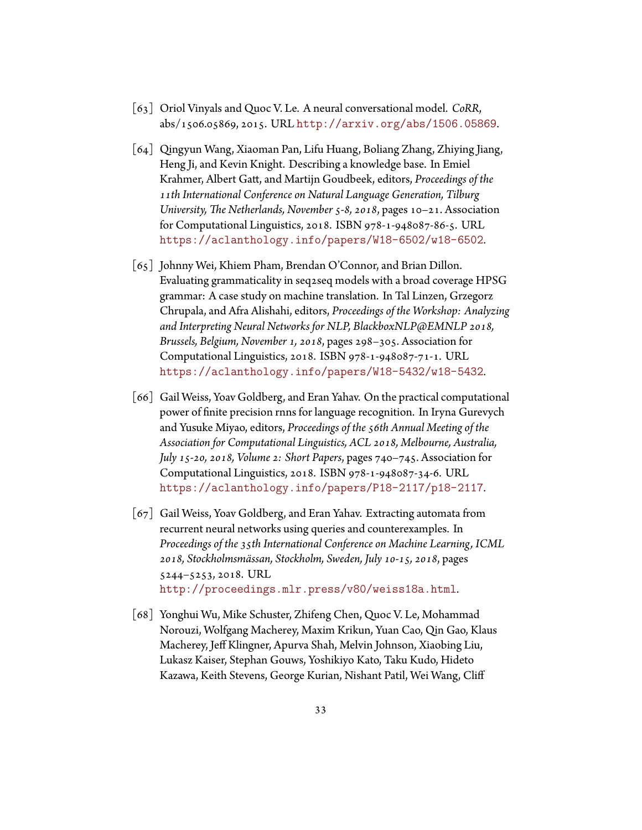- <span id="page-40-4"></span>[63] Oriol Vinyals and Quoc V. Le. A neural conversational model. *CoRR*, abs/1506.05869, 2015. URL <http://arxiv.org/abs/1506.05869>.
- <span id="page-40-1"></span>[64] Qingyun Wang, Xiaoman Pan, Lifu Huang, Boliang Zhang, Zhiying Jiang, Heng Ji, and Kevin Knight. Describing a knowledge base. In Emiel Krahmer, Albert Gatt, and Martijn Goudbeek, editors, *Proceedings of the 11th International Conference on Natural Language Generation, Tilburg University, The Netherlands, November 5-8, 2018*, pages 10–21. Association for Computational Linguistics, 2018. ISBN 978-1-948087-86-5. URL <https://aclanthology.info/papers/W18-6502/w18-6502>.
- <span id="page-40-0"></span>[65] Johnny Wei, Khiem Pham, Brendan O'Connor, and Brian Dillon. Evaluating grammaticality in seq2seq models with a broad coverage HPSG grammar: A case study on machine translation. In Tal Linzen, Grzegorz Chrupala, and Afra Alishahi, editors, *Proceedings of the Workshop: Analyzing and Interpreting Neural Networks for NLP, BlackboxNLP@EMNLP 2018, Brussels, Belgium, November 1, 2018*, pages 298–305. Association for Computational Linguistics, 2018. ISBN 978-1-948087-71-1. URL <https://aclanthology.info/papers/W18-5432/w18-5432>.
- <span id="page-40-2"></span>[66] Gail Weiss, Yoav Goldberg, and Eran Yahav. On the practical computational power of finite precision rnns for language recognition. In Iryna Gurevych and Yusuke Miyao, editors, *Proceedings of the 56th Annual Meeting of the Association for Computational Linguistics, ACL 2018, Melbourne, Australia, July 15-20, 2018, Volume 2: Short Papers*, pages 740–745. Association for Computational Linguistics, 2018. ISBN 978-1-948087-34-6. URL <https://aclanthology.info/papers/P18-2117/p18-2117>.
- <span id="page-40-5"></span>[67] Gail Weiss, Yoav Goldberg, and Eran Yahav. Extracting automata from recurrent neural networks using queries and counterexamples. In *Proceedings of the 35th International Conference on Machine Learning, ICML 2018, Stockholmsmässan, Stockholm, Sweden, July 10-15, 2018*, pages 5244–5253, 2018. URL <http://proceedings.mlr.press/v80/weiss18a.html>.
- <span id="page-40-3"></span>[68] Yonghui Wu, Mike Schuster, Zhifeng Chen, Quoc V. Le, Mohammad Norouzi, Wolfgang Macherey, Maxim Krikun, Yuan Cao, Qin Gao, Klaus Macherey, Jeff Klingner, Apurva Shah, Melvin Johnson, Xiaobing Liu, Lukasz Kaiser, Stephan Gouws, Yoshikiyo Kato, Taku Kudo, Hideto Kazawa, Keith Stevens, George Kurian, Nishant Patil, Wei Wang, Cliff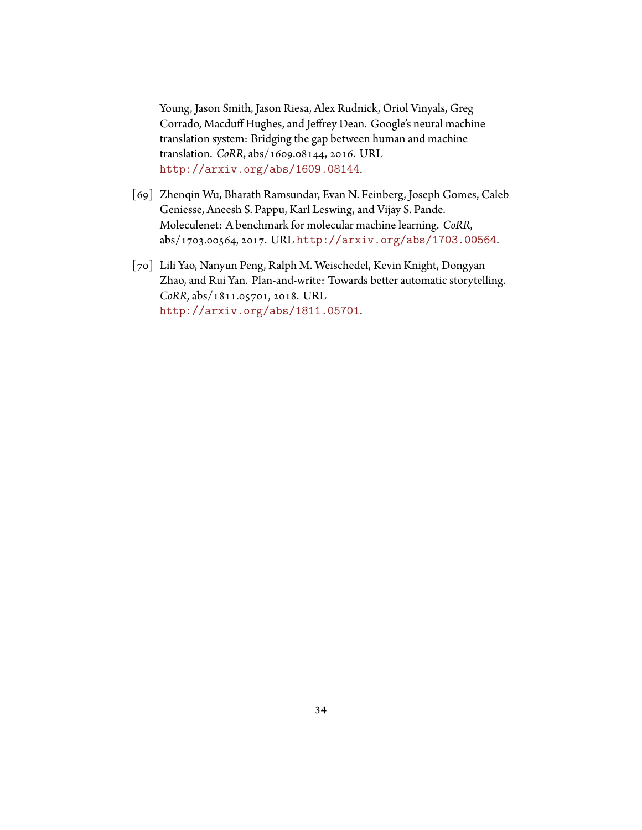Young, Jason Smith, Jason Riesa, Alex Rudnick, Oriol Vinyals, Greg Corrado, Macduff Hughes, and Jeffrey Dean. Google's neural machine translation system: Bridging the gap between human and machine translation. *CoRR*, abs/1609.08144, 2016. URL <http://arxiv.org/abs/1609.08144>.

- <span id="page-41-0"></span>[69] Zhenqin Wu, Bharath Ramsundar, Evan N. Feinberg, Joseph Gomes, Caleb Geniesse, Aneesh S. Pappu, Karl Leswing, and Vijay S. Pande. Moleculenet: A benchmark for molecular machine learning. *CoRR*, abs/1703.00564, 2017. URL <http://arxiv.org/abs/1703.00564>.
- <span id="page-41-1"></span>[70] Lili Yao, Nanyun Peng, Ralph M. Weischedel, Kevin Knight, Dongyan Zhao, and Rui Yan. Plan-and-write: Towards better automatic storytelling. *CoRR*, abs/1811.05701, 2018. URL <http://arxiv.org/abs/1811.05701>.